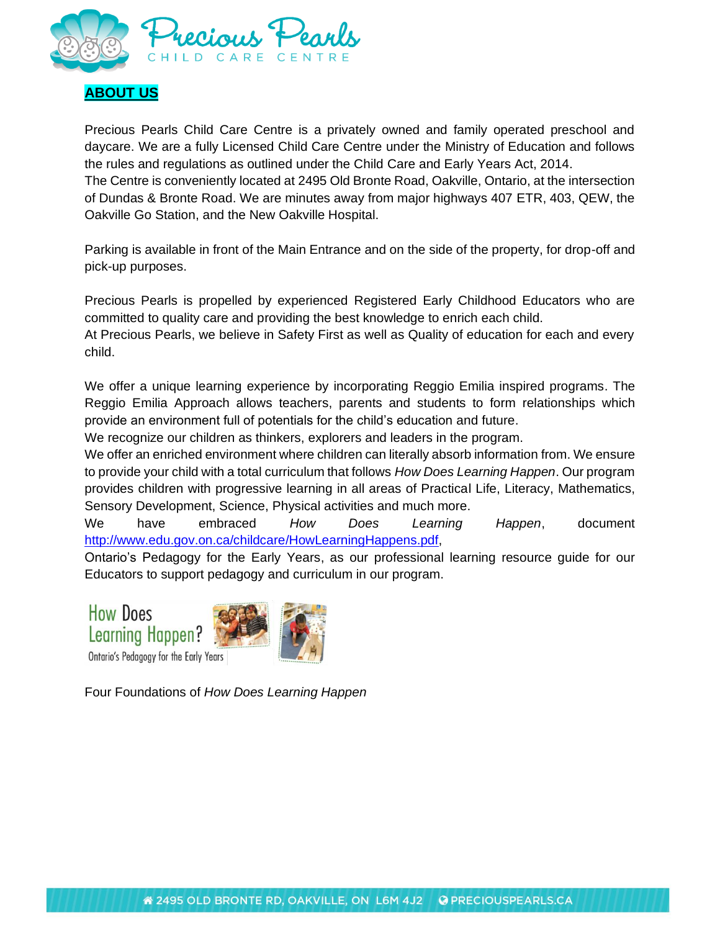

# **ABOUT US**

Precious Pearls Child Care Centre is a privately owned and family operated preschool and daycare. We are a fully Licensed Child Care Centre under the Ministry of Education and follows the rules and regulations as outlined under the Child Care and Early Years Act, 2014.

The Centre is conveniently located at 2495 Old Bronte Road, Oakville, Ontario, at the intersection of Dundas & Bronte Road. We are minutes away from major highways 407 ETR, 403, QEW, the Oakville Go Station, and the New Oakville Hospital.

Parking is available in front of the Main Entrance and on the side of the property, for drop-off and pick-up purposes.

Precious Pearls is propelled by experienced Registered Early Childhood Educators who are committed to quality care and providing the best knowledge to enrich each child.

At Precious Pearls, we believe in Safety First as well as Quality of education for each and every child.

We offer a unique learning experience by incorporating Reggio Emilia inspired programs. The Reggio Emilia Approach allows teachers, parents and students to form relationships which provide an environment full of potentials for the child's education and future.

We recognize our children as thinkers, explorers and leaders in the program.

We offer an enriched environment where children can literally absorb information from. We ensure to provide your child with a total curriculum that follows *How Does Learning Happen*. Our program provides children with progressive learning in all areas of Practical Life, Literacy, Mathematics, Sensory Development, Science, Physical activities and much more.

We have embraced *How Does Learning Happen*, document [http://www.edu.gov.on.ca/childcare/HowLearningHappens.pdf,](http://www.edu.gov.on.ca/childcare/HowLearningHappens.pdf)

Ontario's Pedagogy for the Early Years, as our professional learning resource guide for our Educators to support pedagogy and curriculum in our program.

**How Does Learning Happen?** Ontario's Pedagogy for the Early Years



Four Foundations of *How Does Learning Happen*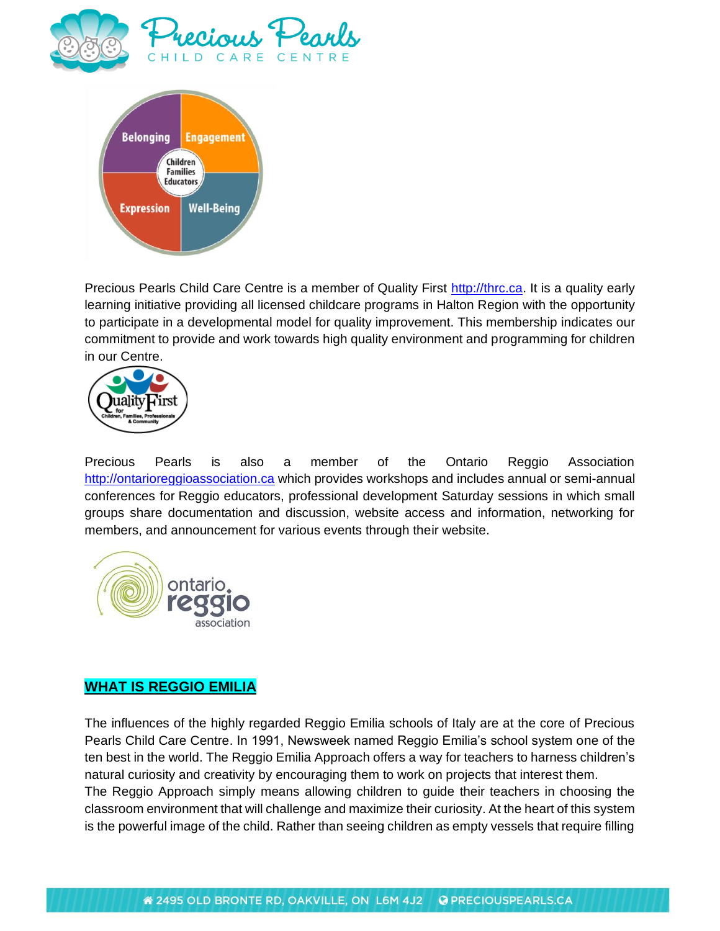



Precious Pearls Child Care Centre is a member of Quality First [http://thrc.ca.](http://thrc.ca/) It is a quality early learning initiative providing all licensed childcare programs in Halton Region with the opportunity to participate in a developmental model for quality improvement. This membership indicates our commitment to provide and work towards high quality environment and programming for children in our Centre.



Precious Pearls is also a member of the Ontario Reggio Association [http://ontarioreggioassociation.ca](http://ontarioreggioassociation.ca/) which provides workshops and includes annual or semi-annual conferences for Reggio educators, professional development Saturday sessions in which small groups share documentation and discussion, website access and information, networking for members, and announcement for various events through their website.



### **WHAT IS REGGIO EMILIA**

The influences of the highly regarded Reggio Emilia schools of Italy are at the core of Precious Pearls Child Care Centre. In 1991, Newsweek named Reggio Emilia's school system one of the ten best in the world. The Reggio Emilia Approach offers a way for teachers to harness children's natural curiosity and creativity by encouraging them to work on projects that interest them. The Reggio Approach simply means allowing children to guide their teachers in choosing the classroom environment that will challenge and maximize their curiosity. At the heart of this system is the powerful image of the child. Rather than seeing children as empty vessels that require filling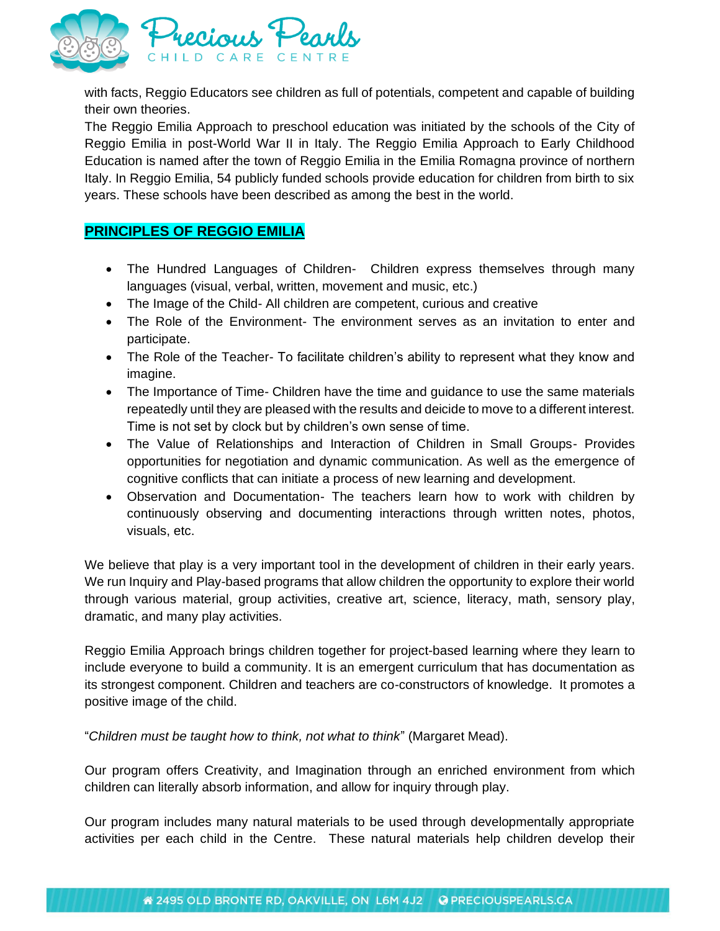

with facts, Reggio Educators see children as full of potentials, competent and capable of building their own theories.

The Reggio Emilia Approach to preschool education was initiated by the schools of the City of Reggio Emilia in post-World War II in Italy. The Reggio Emilia Approach to Early Childhood Education is named after the town of Reggio Emilia in the Emilia Romagna province of northern Italy. In Reggio Emilia, 54 publicly funded schools provide education for children from birth to six years. These schools have been described as among the best in the world.

### **PRINCIPLES OF REGGIO EMILIA**

- The Hundred Languages of Children- Children express themselves through many languages (visual, verbal, written, movement and music, etc.)
- The Image of the Child- All children are competent, curious and creative
- The Role of the Environment- The environment serves as an invitation to enter and participate.
- The Role of the Teacher- To facilitate children's ability to represent what they know and imagine.
- The Importance of Time- Children have the time and guidance to use the same materials repeatedly until they are pleased with the results and deicide to move to a different interest. Time is not set by clock but by children's own sense of time.
- The Value of Relationships and Interaction of Children in Small Groups- Provides opportunities for negotiation and dynamic communication. As well as the emergence of cognitive conflicts that can initiate a process of new learning and development.
- Observation and Documentation- The teachers learn how to work with children by continuously observing and documenting interactions through written notes, photos, visuals, etc.

We believe that play is a very important tool in the development of children in their early years. We run Inquiry and Play-based programs that allow children the opportunity to explore their world through various material, group activities, creative art, science, literacy, math, sensory play, dramatic, and many play activities.

Reggio Emilia Approach brings children together for project-based learning where they learn to include everyone to build a community. It is an emergent curriculum that has documentation as its strongest component. Children and teachers are co-constructors of knowledge. It promotes a positive image of the child.

"*Children must be taught how to think, not what to think*" (Margaret Mead).

Our program offers Creativity, and Imagination through an enriched environment from which children can literally absorb information, and allow for inquiry through play.

Our program includes many natural materials to be used through developmentally appropriate activities per each child in the Centre. These natural materials help children develop their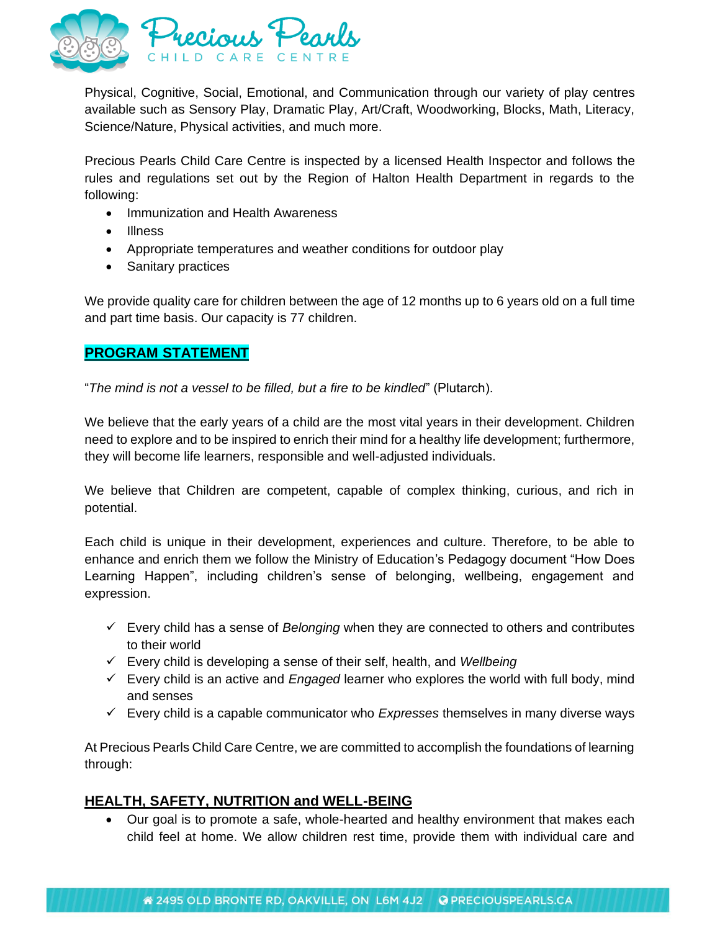

Physical, Cognitive, Social, Emotional, and Communication through our variety of play centres available such as Sensory Play, Dramatic Play, Art/Craft, Woodworking, Blocks, Math, Literacy, Science/Nature, Physical activities, and much more.

Precious Pearls Child Care Centre is inspected by a licensed Health Inspector and follows the rules and regulations set out by the Region of Halton Health Department in regards to the following:

- Immunization and Health Awareness
- Illness
- Appropriate temperatures and weather conditions for outdoor play
- Sanitary practices

We provide quality care for children between the age of 12 months up to 6 years old on a full time and part time basis. Our capacity is 77 children.

### **PROGRAM STATEMENT**

"*The mind is not a vessel to be filled, but a fire to be kindled*" (Plutarch).

We believe that the early years of a child are the most vital years in their development. Children need to explore and to be inspired to enrich their mind for a healthy life development; furthermore, they will become life learners, responsible and well-adjusted individuals.

We believe that Children are competent, capable of complex thinking, curious, and rich in potential.

Each child is unique in their development, experiences and culture. Therefore, to be able to enhance and enrich them we follow the Ministry of Education's Pedagogy document "How Does Learning Happen", including children's sense of belonging, wellbeing, engagement and expression.

- ✓ Every child has a sense of *Belonging* when they are connected to others and contributes to their world
- ✓ Every child is developing a sense of their self, health, and *Wellbeing*
- ✓ Every child is an active and *Engaged* learner who explores the world with full body, mind and senses
- ✓ Every child is a capable communicator who *Expresses* themselves in many diverse ways

At Precious Pearls Child Care Centre, we are committed to accomplish the foundations of learning through:

### **HEALTH, SAFETY, NUTRITION and WELL-BEING**

• Our goal is to promote a safe, whole-hearted and healthy environment that makes each child feel at home. We allow children rest time, provide them with individual care and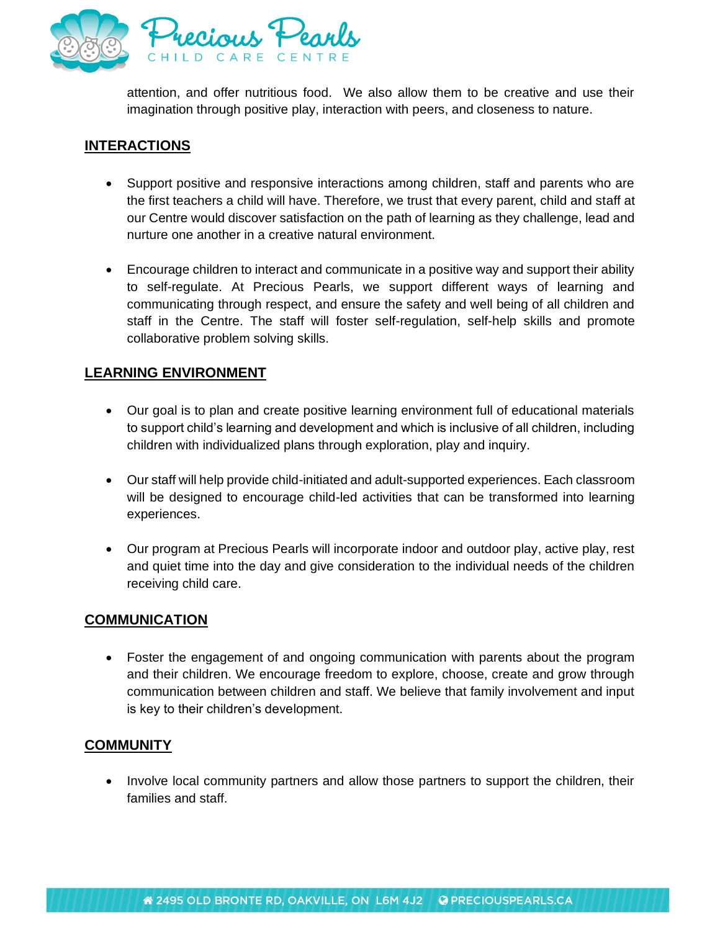

attention, and offer nutritious food. We also allow them to be creative and use their imagination through positive play, interaction with peers, and closeness to nature.

### **INTERACTIONS**

- Support positive and responsive interactions among children, staff and parents who are the first teachers a child will have. Therefore, we trust that every parent, child and staff at our Centre would discover satisfaction on the path of learning as they challenge, lead and nurture one another in a creative natural environment.
- Encourage children to interact and communicate in a positive way and support their ability to self-regulate. At Precious Pearls, we support different ways of learning and communicating through respect, and ensure the safety and well being of all children and staff in the Centre. The staff will foster self-regulation, self-help skills and promote collaborative problem solving skills.

# **LEARNING ENVIRONMENT**

- Our goal is to plan and create positive learning environment full of educational materials to support child's learning and development and which is inclusive of all children, including children with individualized plans through exploration, play and inquiry.
- Our staff will help provide child-initiated and adult-supported experiences. Each classroom will be designed to encourage child-led activities that can be transformed into learning experiences.
- Our program at Precious Pearls will incorporate indoor and outdoor play, active play, rest and quiet time into the day and give consideration to the individual needs of the children receiving child care.

#### **COMMUNICATION**

• Foster the engagement of and ongoing communication with parents about the program and their children. We encourage freedom to explore, choose, create and grow through communication between children and staff. We believe that family involvement and input is key to their children's development.

### **COMMUNITY**

• Involve local community partners and allow those partners to support the children, their families and staff.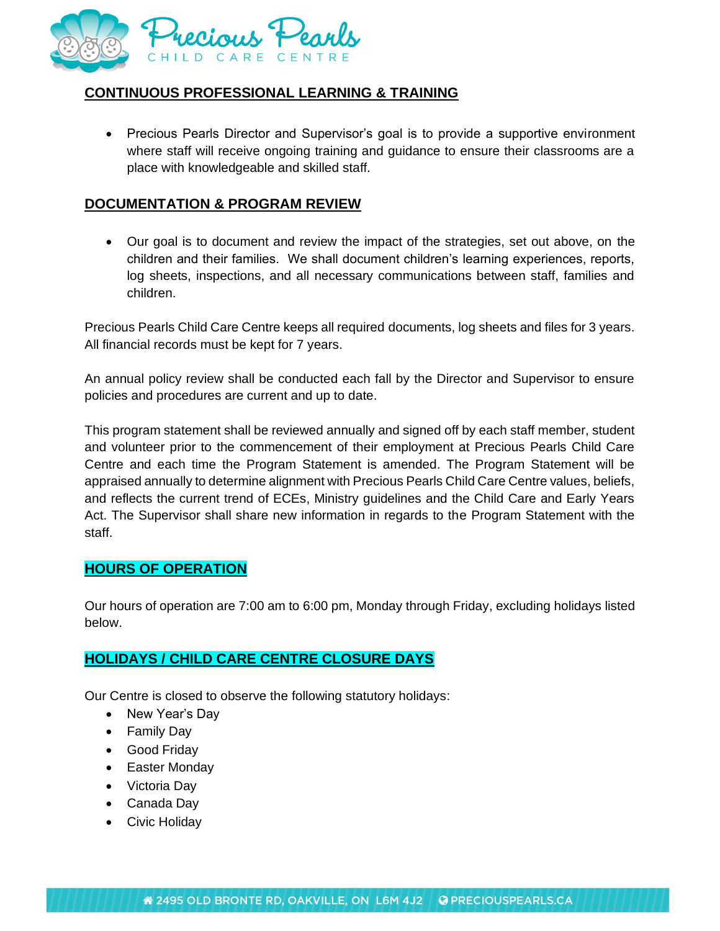

# **CONTINUOUS PROFESSIONAL LEARNING & TRAINING**

• Precious Pearls Director and Supervisor's goal is to provide a supportive environment where staff will receive ongoing training and guidance to ensure their classrooms are a place with knowledgeable and skilled staff.

# **DOCUMENTATION & PROGRAM REVIEW**

• Our goal is to document and review the impact of the strategies, set out above, on the children and their families. We shall document children's learning experiences, reports, log sheets, inspections, and all necessary communications between staff, families and children.

Precious Pearls Child Care Centre keeps all required documents, log sheets and files for 3 years. All financial records must be kept for 7 years.

An annual policy review shall be conducted each fall by the Director and Supervisor to ensure policies and procedures are current and up to date.

This program statement shall be reviewed annually and signed off by each staff member, student and volunteer prior to the commencement of their employment at Precious Pearls Child Care Centre and each time the Program Statement is amended. The Program Statement will be appraised annually to determine alignment with Precious Pearls Child Care Centre values, beliefs, and reflects the current trend of ECEs, Ministry guidelines and the Child Care and Early Years Act. The Supervisor shall share new information in regards to the Program Statement with the staff.

### **HOURS OF OPERATION**

Our hours of operation are 7:00 am to 6:00 pm, Monday through Friday, excluding holidays listed below.

### **HOLIDAYS / CHILD CARE CENTRE CLOSURE DAYS**

Our Centre is closed to observe the following statutory holidays:

- New Year's Day
- Family Day
- Good Friday
- Easter Monday
- Victoria Day
- Canada Day
- Civic Holiday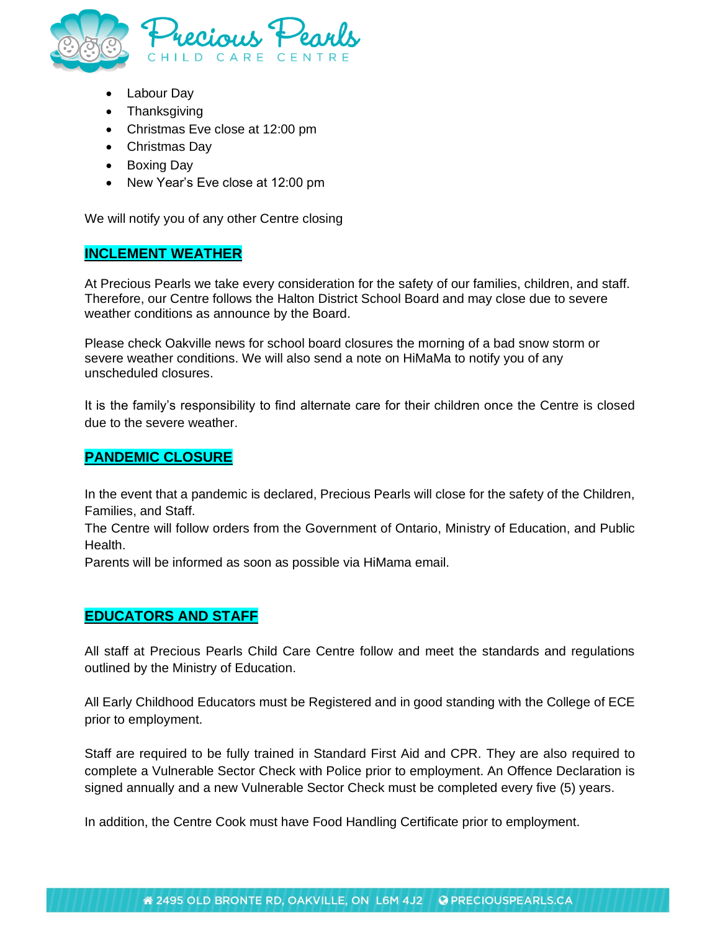

- Labour Day
- Thanksgiving
- Christmas Eve close at 12:00 pm
- Christmas Day
- Boxing Day
- New Year's Eve close at 12:00 pm

We will notify you of any other Centre closing

#### **INCLEMENT WEATHER**

At Precious Pearls we take every consideration for the safety of our families, children, and staff. Therefore, our Centre follows the Halton District School Board and may close due to severe weather conditions as announce by the Board.

Please check Oakville news for school board closures the morning of a bad snow storm or severe weather conditions. We will also send a note on HiMaMa to notify you of any unscheduled closures.

It is the family's responsibility to find alternate care for their children once the Centre is closed due to the severe weather.

### **PANDEMIC CLOSURE**

In the event that a pandemic is declared, Precious Pearls will close for the safety of the Children, Families, and Staff.

The Centre will follow orders from the Government of Ontario, Ministry of Education, and Public Health.

Parents will be informed as soon as possible via HiMama email.

### **EDUCATORS AND STAFF**

All staff at Precious Pearls Child Care Centre follow and meet the standards and regulations outlined by the Ministry of Education.

All Early Childhood Educators must be Registered and in good standing with the College of ECE prior to employment.

Staff are required to be fully trained in Standard First Aid and CPR. They are also required to complete a Vulnerable Sector Check with Police prior to employment. An Offence Declaration is signed annually and a new Vulnerable Sector Check must be completed every five (5) years.

In addition, the Centre Cook must have Food Handling Certificate prior to employment.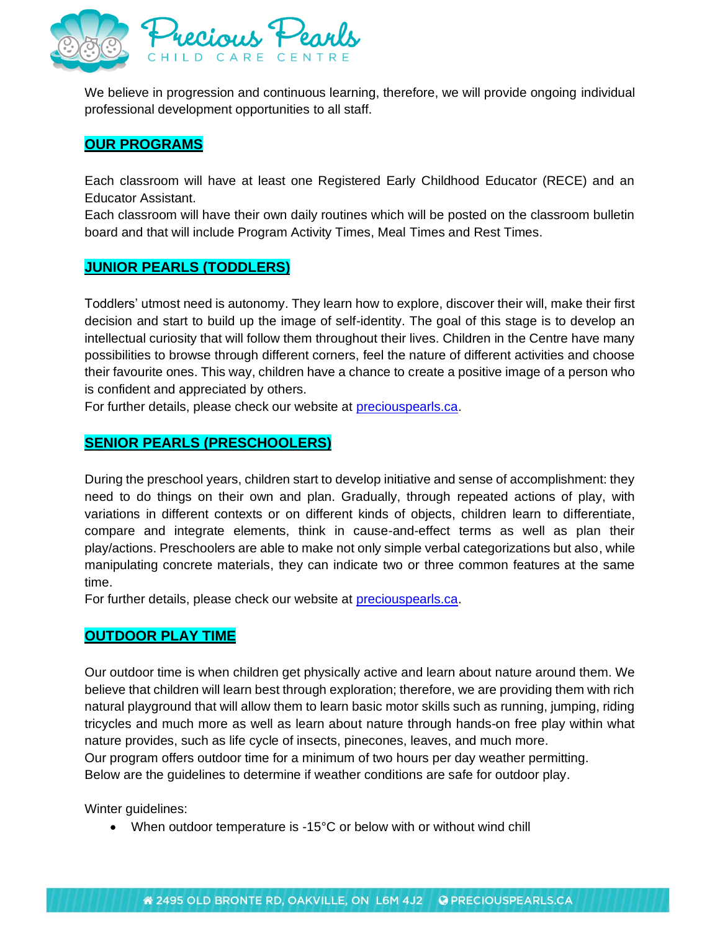

We believe in progression and continuous learning, therefore, we will provide ongoing individual professional development opportunities to all staff.

### **OUR PROGRAMS**

Each classroom will have at least one Registered Early Childhood Educator (RECE) and an Educator Assistant.

Each classroom will have their own daily routines which will be posted on the classroom bulletin board and that will include Program Activity Times, Meal Times and Rest Times.

### **JUNIOR PEARLS (TODDLERS)**

Toddlers' utmost need is autonomy. They learn how to explore, discover their will, make their first decision and start to build up the image of self-identity. The goal of this stage is to develop an intellectual curiosity that will follow them throughout their lives. Children in the Centre have many possibilities to browse through different corners, feel the nature of different activities and choose their favourite ones. This way, children have a chance to create a positive image of a person who is confident and appreciated by others.

For further details, please check our website at [preciouspearls.ca.](http://www.preciouspearls.ca/)

## **SENIOR PEARLS (PRESCHOOLERS)**

During the preschool years, children start to develop initiative and sense of accomplishment: they need to do things on their own and plan. Gradually, through repeated actions of play, with variations in different contexts or on different kinds of objects, children learn to differentiate, compare and integrate elements, think in cause-and-effect terms as well as plan their play/actions. Preschoolers are able to make not only simple verbal categorizations but also, while manipulating concrete materials, they can indicate two or three common features at the same time.

For further details, please check our website at [preciouspearls.ca.](http://www.preciouspearls.ca/)

### **OUTDOOR PLAY TIME**

Our outdoor time is when children get physically active and learn about nature around them. We believe that children will learn best through exploration; therefore, we are providing them with rich natural playground that will allow them to learn basic motor skills such as running, jumping, riding tricycles and much more as well as learn about nature through hands-on free play within what nature provides, such as life cycle of insects, pinecones, leaves, and much more. Our program offers outdoor time for a minimum of two hours per day weather permitting. Below are the guidelines to determine if weather conditions are safe for outdoor play.

Winter guidelines:

• When outdoor temperature is -15°C or below with or without wind chill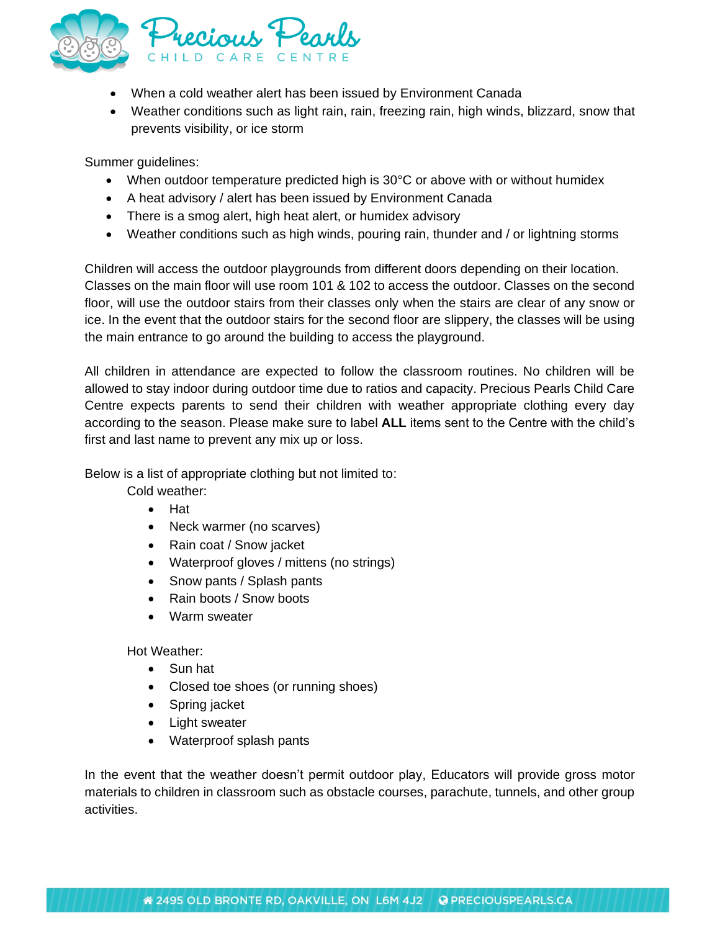

- When a cold weather alert has been issued by Environment Canada
- Weather conditions such as light rain, rain, freezing rain, high winds, blizzard, snow that prevents visibility, or ice storm

Summer guidelines:

- When outdoor temperature predicted high is 30°C or above with or without humidex
- A heat advisory / alert has been issued by Environment Canada
- There is a smog alert, high heat alert, or humidex advisory
- Weather conditions such as high winds, pouring rain, thunder and / or lightning storms

Children will access the outdoor playgrounds from different doors depending on their location. Classes on the main floor will use room 101 & 102 to access the outdoor. Classes on the second floor, will use the outdoor stairs from their classes only when the stairs are clear of any snow or ice. In the event that the outdoor stairs for the second floor are slippery, the classes will be using the main entrance to go around the building to access the playground.

All children in attendance are expected to follow the classroom routines. No children will be allowed to stay indoor during outdoor time due to ratios and capacity. Precious Pearls Child Care Centre expects parents to send their children with weather appropriate clothing every day according to the season. Please make sure to label **ALL** items sent to the Centre with the child's first and last name to prevent any mix up or loss.

Below is a list of appropriate clothing but not limited to:

Cold weather:

- Hat
- Neck warmer (no scarves)
- Rain coat / Snow jacket
- Waterproof gloves / mittens (no strings)
- Snow pants / Splash pants
- Rain boots / Snow boots
- Warm sweater

Hot Weather:

- Sun hat
- Closed toe shoes (or running shoes)
- Spring jacket
- Light sweater
- Waterproof splash pants

In the event that the weather doesn't permit outdoor play, Educators will provide gross motor materials to children in classroom such as obstacle courses, parachute, tunnels, and other group activities.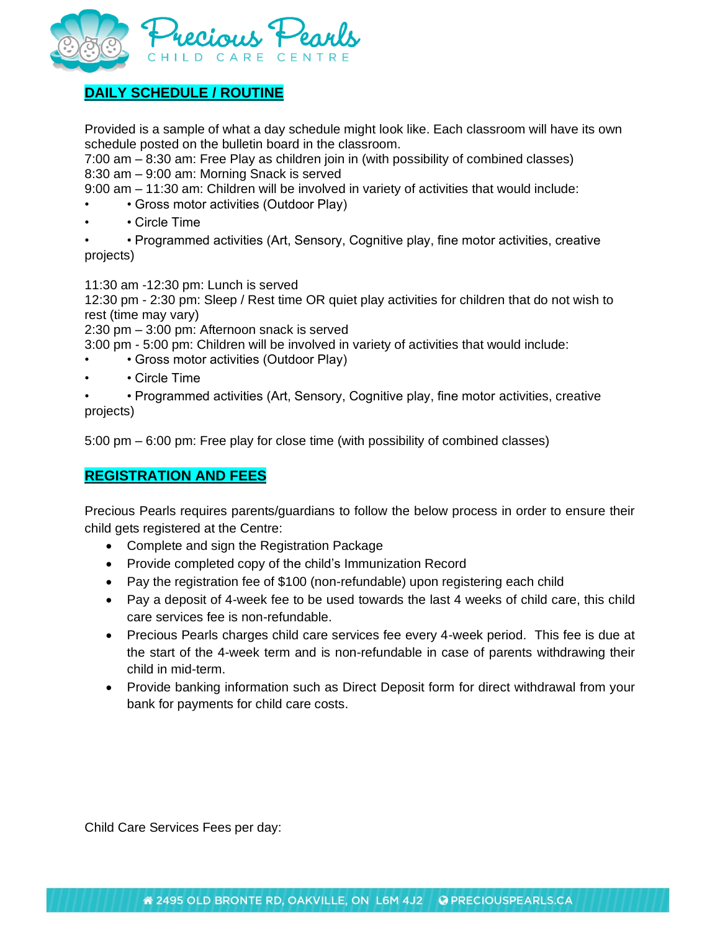

# **DAILY SCHEDULE / ROUTINE**

Provided is a sample of what a day schedule might look like. Each classroom will have its own schedule posted on the bulletin board in the classroom.

7:00 am – 8:30 am: Free Play as children join in (with possibility of combined classes) 8:30 am – 9:00 am: Morning Snack is served

9:00 am – 11:30 am: Children will be involved in variety of activities that would include:

- Gross motor activities (Outdoor Play)
- • Circle Time

• • Programmed activities (Art, Sensory, Cognitive play, fine motor activities, creative projects)

11:30 am -12:30 pm: Lunch is served

12:30 pm - 2:30 pm: Sleep / Rest time OR quiet play activities for children that do not wish to rest (time may vary)

2:30 pm – 3:00 pm: Afternoon snack is served

3:00 pm - 5:00 pm: Children will be involved in variety of activities that would include:

- Gross motor activities (Outdoor Play)
- Circle Time

• • Programmed activities (Art, Sensory, Cognitive play, fine motor activities, creative projects)

5:00 pm – 6:00 pm: Free play for close time (with possibility of combined classes)

### **REGISTRATION AND FEES**

Precious Pearls requires parents/guardians to follow the below process in order to ensure their child gets registered at the Centre:

- Complete and sign the Registration Package
- Provide completed copy of the child's Immunization Record
- Pay the registration fee of \$100 (non-refundable) upon registering each child
- Pay a deposit of 4-week fee to be used towards the last 4 weeks of child care, this child care services fee is non-refundable.
- Precious Pearls charges child care services fee every 4-week period. This fee is due at the start of the 4-week term and is non-refundable in case of parents withdrawing their child in mid-term.
- Provide banking information such as Direct Deposit form for direct withdrawal from your bank for payments for child care costs.

Child Care Services Fees per day: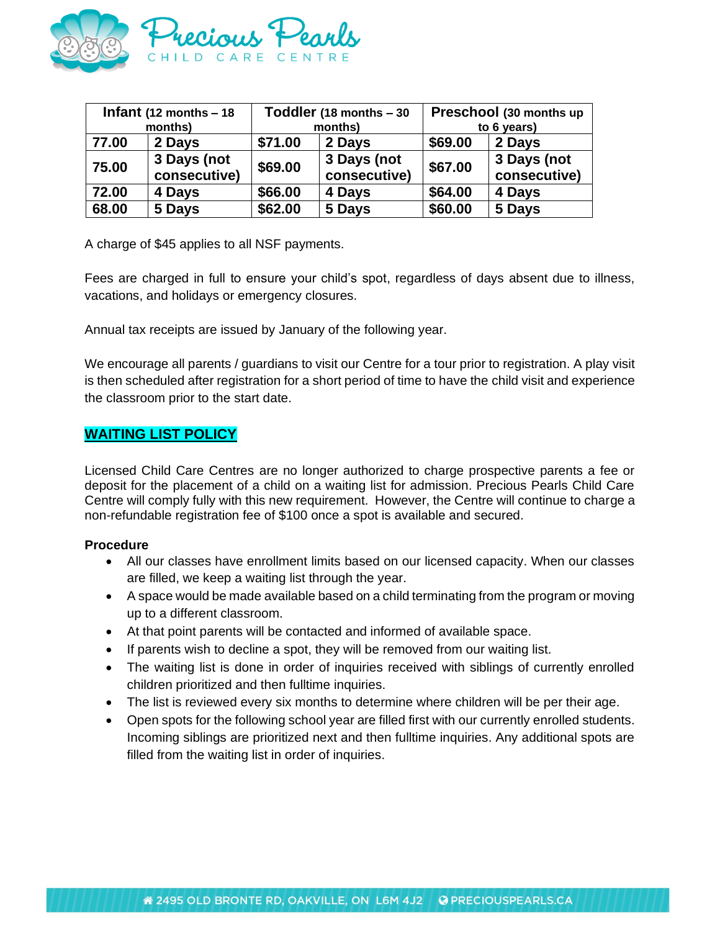

| Infant $(12$ months - 18 |                             | Toddler (18 months - 30 |                             | Preschool (30 months up |                             |  |
|--------------------------|-----------------------------|-------------------------|-----------------------------|-------------------------|-----------------------------|--|
| months)                  |                             | months)                 |                             | to 6 years)             |                             |  |
| 77.00                    | 2 Days                      | \$71.00                 | 2 Days                      | \$69.00                 | 2 Days                      |  |
| 75.00                    | 3 Days (not<br>consecutive) | \$69.00                 | 3 Days (not<br>consecutive) | \$67.00                 | 3 Days (not<br>consecutive) |  |
| 72.00                    | 4 Days                      | \$66.00                 | 4 Days                      | \$64.00                 | 4 Days                      |  |
| 68.00                    | 5 Days                      | \$62.00                 | 5 Days                      | \$60.00                 | 5 Days                      |  |

A charge of \$45 applies to all NSF payments.

Fees are charged in full to ensure your child's spot, regardless of days absent due to illness, vacations, and holidays or emergency closures.

Annual tax receipts are issued by January of the following year.

We encourage all parents / guardians to visit our Centre for a tour prior to registration. A play visit is then scheduled after registration for a short period of time to have the child visit and experience the classroom prior to the start date.

#### **WAITING LIST POLICY**

Licensed Child Care Centres are no longer authorized to charge prospective parents a fee or deposit for the placement of a child on a waiting list for admission. Precious Pearls Child Care Centre will comply fully with this new requirement. However, the Centre will continue to charge a non-refundable registration fee of \$100 once a spot is available and secured.

#### **Procedure**

- All our classes have enrollment limits based on our licensed capacity. When our classes are filled, we keep a waiting list through the year.
- A space would be made available based on a child terminating from the program or moving up to a different classroom.
- At that point parents will be contacted and informed of available space.
- If parents wish to decline a spot, they will be removed from our waiting list.
- The waiting list is done in order of inquiries received with siblings of currently enrolled children prioritized and then fulltime inquiries.
- The list is reviewed every six months to determine where children will be per their age.
- Open spots for the following school year are filled first with our currently enrolled students. Incoming siblings are prioritized next and then fulltime inquiries. Any additional spots are filled from the waiting list in order of inquiries.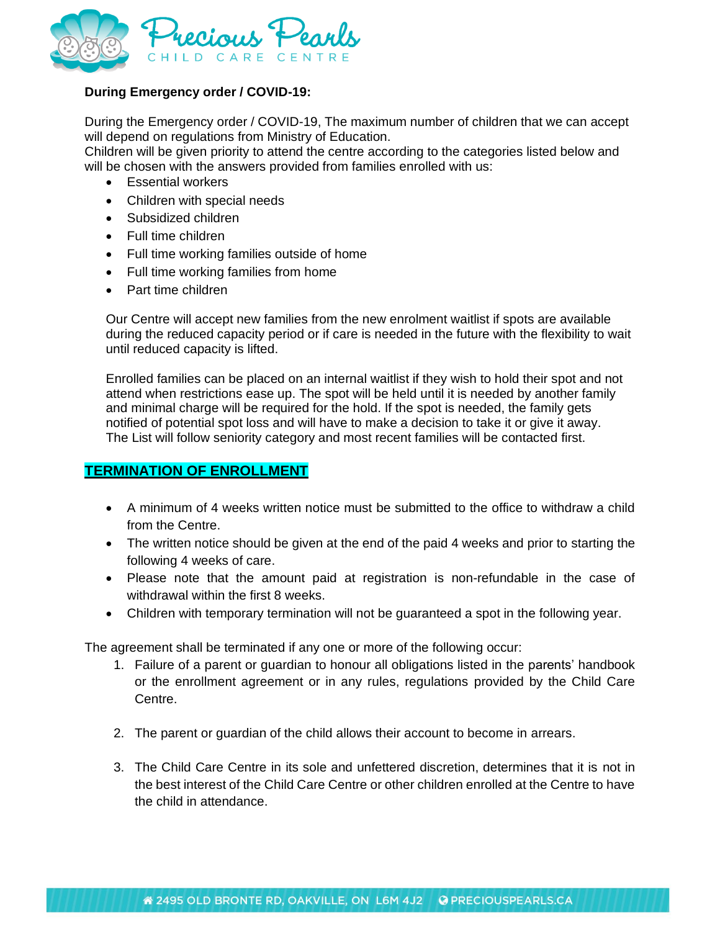

#### **During Emergency order / COVID-19:**

During the Emergency order / COVID-19, The maximum number of children that we can accept will depend on regulations from Ministry of Education.

Children will be given priority to attend the centre according to the categories listed below and will be chosen with the answers provided from families enrolled with us:

- Essential workers
- Children with special needs
- Subsidized children
- Full time children
- Full time working families outside of home
- Full time working families from home
- Part time children

Our Centre will accept new families from the new enrolment waitlist if spots are available during the reduced capacity period or if care is needed in the future with the flexibility to wait until reduced capacity is lifted.

Enrolled families can be placed on an internal waitlist if they wish to hold their spot and not attend when restrictions ease up. The spot will be held until it is needed by another family and minimal charge will be required for the hold. If the spot is needed, the family gets notified of potential spot loss and will have to make a decision to take it or give it away. The List will follow seniority category and most recent families will be contacted first.

#### **TERMINATION OF ENROLLMENT**

- A minimum of 4 weeks written notice must be submitted to the office to withdraw a child from the Centre.
- The written notice should be given at the end of the paid 4 weeks and prior to starting the following 4 weeks of care.
- Please note that the amount paid at registration is non-refundable in the case of withdrawal within the first 8 weeks.
- Children with temporary termination will not be guaranteed a spot in the following year.

The agreement shall be terminated if any one or more of the following occur:

- 1. Failure of a parent or guardian to honour all obligations listed in the parents' handbook or the enrollment agreement or in any rules, regulations provided by the Child Care Centre.
- 2. The parent or guardian of the child allows their account to become in arrears.
- 3. The Child Care Centre in its sole and unfettered discretion, determines that it is not in the best interest of the Child Care Centre or other children enrolled at the Centre to have the child in attendance.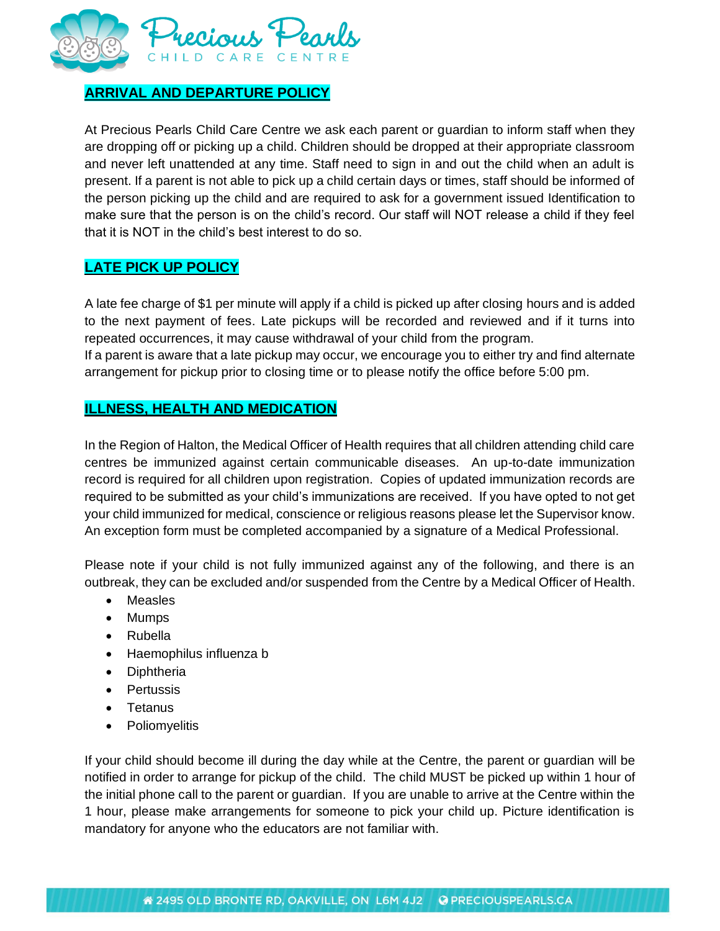

# **ARRIVAL AND DEPARTURE POLICY**

At Precious Pearls Child Care Centre we ask each parent or guardian to inform staff when they are dropping off or picking up a child. Children should be dropped at their appropriate classroom and never left unattended at any time. Staff need to sign in and out the child when an adult is present. If a parent is not able to pick up a child certain days or times, staff should be informed of the person picking up the child and are required to ask for a government issued Identification to make sure that the person is on the child's record. Our staff will NOT release a child if they feel that it is NOT in the child's best interest to do so.

# **LATE PICK UP POLICY**

A late fee charge of \$1 per minute will apply if a child is picked up after closing hours and is added to the next payment of fees. Late pickups will be recorded and reviewed and if it turns into repeated occurrences, it may cause withdrawal of your child from the program.

If a parent is aware that a late pickup may occur, we encourage you to either try and find alternate arrangement for pickup prior to closing time or to please notify the office before 5:00 pm.

## **ILLNESS, HEALTH AND MEDICATION**

In the Region of Halton, the Medical Officer of Health requires that all children attending child care centres be immunized against certain communicable diseases. An up-to-date immunization record is required for all children upon registration. Copies of updated immunization records are required to be submitted as your child's immunizations are received. If you have opted to not get your child immunized for medical, conscience or religious reasons please let the Supervisor know. An exception form must be completed accompanied by a signature of a Medical Professional.

Please note if your child is not fully immunized against any of the following, and there is an outbreak, they can be excluded and/or suspended from the Centre by a Medical Officer of Health.

- Measles
- Mumps
- Rubella
- Haemophilus influenza b
- Diphtheria
- Pertussis
- Tetanus
- Poliomyelitis

If your child should become ill during the day while at the Centre, the parent or guardian will be notified in order to arrange for pickup of the child. The child MUST be picked up within 1 hour of the initial phone call to the parent or guardian. If you are unable to arrive at the Centre within the 1 hour, please make arrangements for someone to pick your child up. Picture identification is mandatory for anyone who the educators are not familiar with.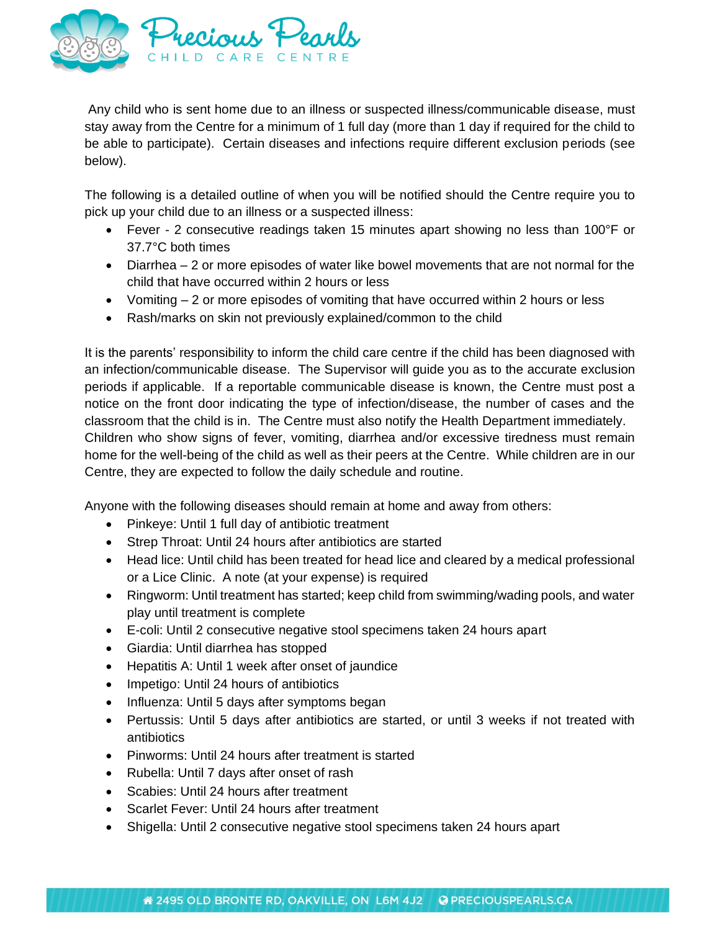

Any child who is sent home due to an illness or suspected illness/communicable disease, must stay away from the Centre for a minimum of 1 full day (more than 1 day if required for the child to be able to participate). Certain diseases and infections require different exclusion periods (see below).

The following is a detailed outline of when you will be notified should the Centre require you to pick up your child due to an illness or a suspected illness:

- Fever 2 consecutive readings taken 15 minutes apart showing no less than 100°F or 37.7°C both times
- Diarrhea 2 or more episodes of water like bowel movements that are not normal for the child that have occurred within 2 hours or less
- Vomiting  $-2$  or more episodes of vomiting that have occurred within 2 hours or less
- Rash/marks on skin not previously explained/common to the child

It is the parents' responsibility to inform the child care centre if the child has been diagnosed with an infection/communicable disease. The Supervisor will guide you as to the accurate exclusion periods if applicable. If a reportable communicable disease is known, the Centre must post a notice on the front door indicating the type of infection/disease, the number of cases and the classroom that the child is in. The Centre must also notify the Health Department immediately. Children who show signs of fever, vomiting, diarrhea and/or excessive tiredness must remain home for the well-being of the child as well as their peers at the Centre. While children are in our Centre, they are expected to follow the daily schedule and routine.

Anyone with the following diseases should remain at home and away from others:

- Pinkeye: Until 1 full day of antibiotic treatment
- Strep Throat: Until 24 hours after antibiotics are started
- Head lice: Until child has been treated for head lice and cleared by a medical professional or a Lice Clinic. A note (at your expense) is required
- Ringworm: Until treatment has started; keep child from swimming/wading pools, and water play until treatment is complete
- E-coli: Until 2 consecutive negative stool specimens taken 24 hours apart
- Giardia: Until diarrhea has stopped
- Hepatitis A: Until 1 week after onset of jaundice
- Impetigo: Until 24 hours of antibiotics
- Influenza: Until 5 days after symptoms began
- Pertussis: Until 5 days after antibiotics are started, or until 3 weeks if not treated with antibiotics
- Pinworms: Until 24 hours after treatment is started
- Rubella: Until 7 days after onset of rash
- Scabies: Until 24 hours after treatment
- Scarlet Fever: Until 24 hours after treatment
- Shigella: Until 2 consecutive negative stool specimens taken 24 hours apart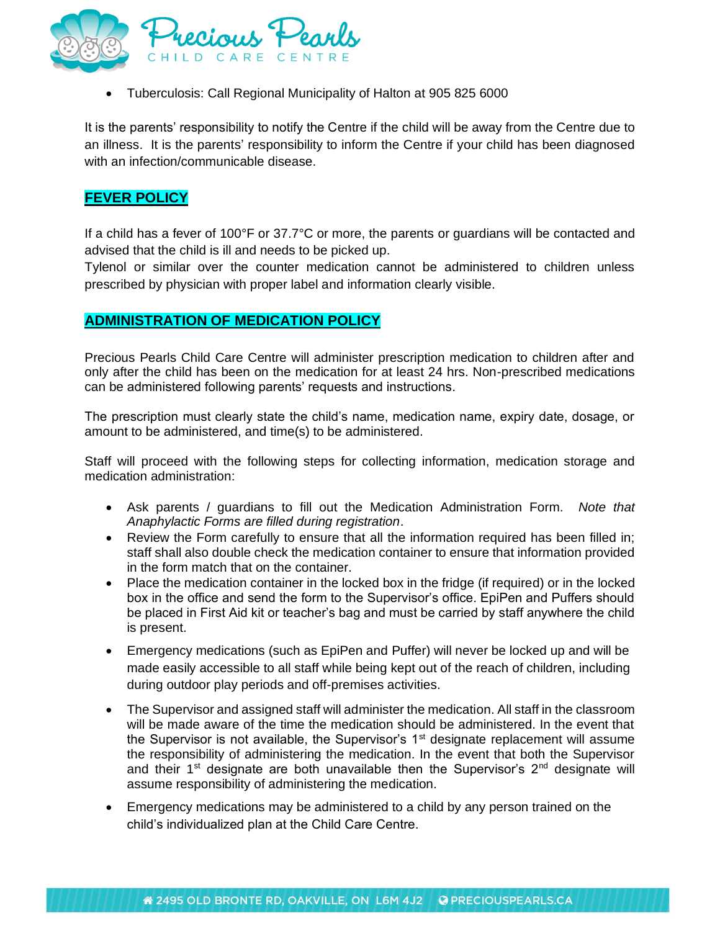

• Tuberculosis: Call Regional Municipality of Halton at 905 825 6000

It is the parents' responsibility to notify the Centre if the child will be away from the Centre due to an illness. It is the parents' responsibility to inform the Centre if your child has been diagnosed with an infection/communicable disease.

### **FEVER POLICY**

If a child has a fever of 100°F or 37.7°C or more, the parents or guardians will be contacted and advised that the child is ill and needs to be picked up.

Tylenol or similar over the counter medication cannot be administered to children unless prescribed by physician with proper label and information clearly visible.

#### **ADMINISTRATION OF MEDICATION POLICY**

Precious Pearls Child Care Centre will administer prescription medication to children after and only after the child has been on the medication for at least 24 hrs. Non-prescribed medications can be administered following parents' requests and instructions.

The prescription must clearly state the child's name, medication name, expiry date, dosage, or amount to be administered, and time(s) to be administered.

Staff will proceed with the following steps for collecting information, medication storage and medication administration:

- Ask parents / guardians to fill out the Medication Administration Form. *Note that Anaphylactic Forms are filled during registration*.
- Review the Form carefully to ensure that all the information required has been filled in; staff shall also double check the medication container to ensure that information provided in the form match that on the container.
- Place the medication container in the locked box in the fridge (if required) or in the locked box in the office and send the form to the Supervisor's office. EpiPen and Puffers should be placed in First Aid kit or teacher's bag and must be carried by staff anywhere the child is present.
- Emergency medications (such as EpiPen and Puffer) will never be locked up and will be made easily accessible to all staff while being kept out of the reach of children, including during outdoor play periods and off-premises activities.
- The Supervisor and assigned staff will administer the medication. All staff in the classroom will be made aware of the time the medication should be administered. In the event that the Supervisor is not available, the Supervisor's  $1<sup>st</sup>$  designate replacement will assume the responsibility of administering the medication. In the event that both the Supervisor and their  $1<sup>st</sup>$  designate are both unavailable then the Supervisor's  $2<sup>nd</sup>$  designate will assume responsibility of administering the medication.
- Emergency medications may be administered to a child by any person trained on the child's individualized plan at the Child Care Centre.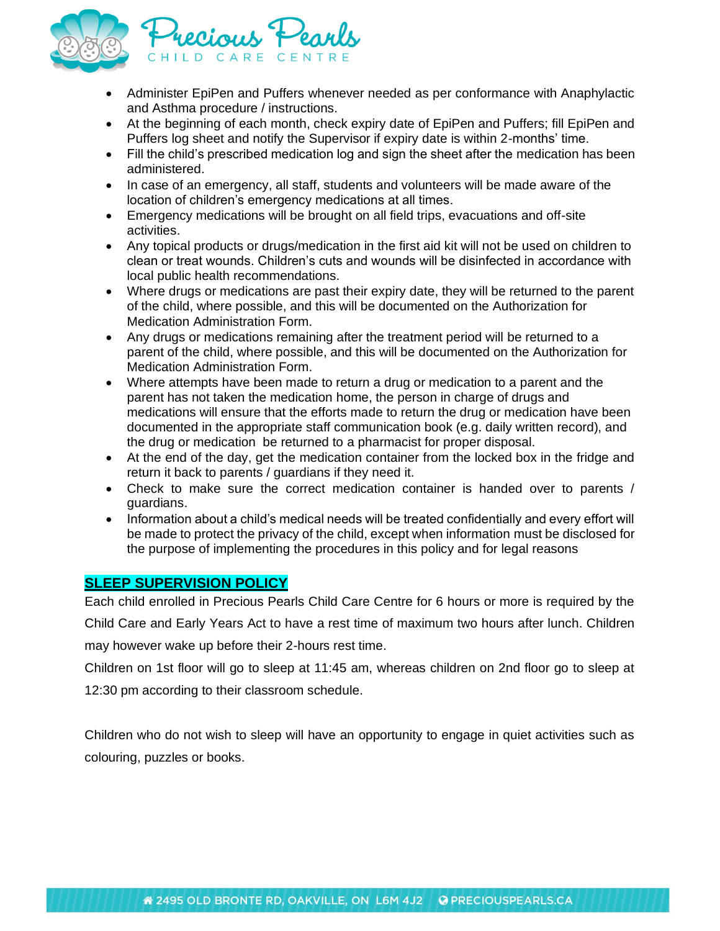

- Administer EpiPen and Puffers whenever needed as per conformance with Anaphylactic and Asthma procedure / instructions.
- At the beginning of each month, check expiry date of EpiPen and Puffers; fill EpiPen and Puffers log sheet and notify the Supervisor if expiry date is within 2-months' time.
- Fill the child's prescribed medication log and sign the sheet after the medication has been administered.
- In case of an emergency, all staff, students and volunteers will be made aware of the location of children's emergency medications at all times.
- Emergency medications will be brought on all field trips, evacuations and off-site activities.
- Any topical products or drugs/medication in the first aid kit will not be used on children to clean or treat wounds. Children's cuts and wounds will be disinfected in accordance with local public health recommendations.
- Where drugs or medications are past their expiry date, they will be returned to the parent of the child, where possible, and this will be documented on the Authorization for Medication Administration Form.
- Any drugs or medications remaining after the treatment period will be returned to a parent of the child, where possible, and this will be documented on the Authorization for Medication Administration Form.
- Where attempts have been made to return a drug or medication to a parent and the parent has not taken the medication home, the person in charge of drugs and medications will ensure that the efforts made to return the drug or medication have been documented in the appropriate staff communication book (e.g. daily written record), and the drug or medication be returned to a pharmacist for proper disposal.
- At the end of the day, get the medication container from the locked box in the fridge and return it back to parents / guardians if they need it.
- Check to make sure the correct medication container is handed over to parents / guardians.
- Information about a child's medical needs will be treated confidentially and every effort will be made to protect the privacy of the child, except when information must be disclosed for the purpose of implementing the procedures in this policy and for legal reasons

#### **SLEEP SUPERVISION POLICY**

Each child enrolled in Precious Pearls Child Care Centre for 6 hours or more is required by the Child Care and Early Years Act to have a rest time of maximum two hours after lunch. Children may however wake up before their 2-hours rest time.

Children on 1st floor will go to sleep at 11:45 am, whereas children on 2nd floor go to sleep at 12:30 pm according to their classroom schedule.

Children who do not wish to sleep will have an opportunity to engage in quiet activities such as colouring, puzzles or books.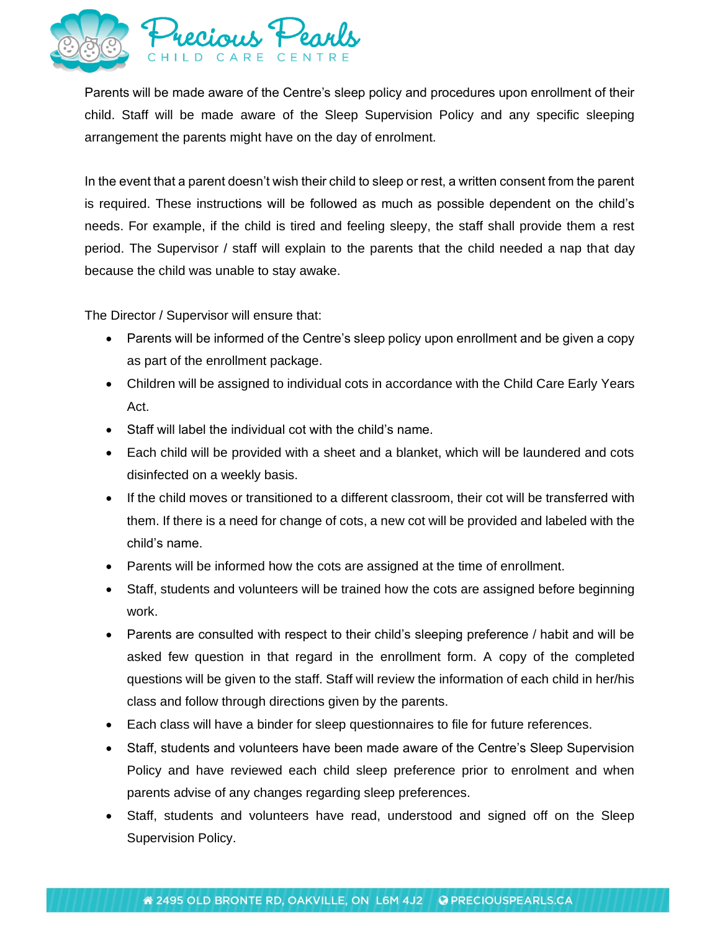

Parents will be made aware of the Centre's sleep policy and procedures upon enrollment of their child. Staff will be made aware of the Sleep Supervision Policy and any specific sleeping arrangement the parents might have on the day of enrolment.

In the event that a parent doesn't wish their child to sleep or rest, a written consent from the parent is required. These instructions will be followed as much as possible dependent on the child's needs. For example, if the child is tired and feeling sleepy, the staff shall provide them a rest period. The Supervisor / staff will explain to the parents that the child needed a nap that day because the child was unable to stay awake.

The Director / Supervisor will ensure that:

- Parents will be informed of the Centre's sleep policy upon enrollment and be given a copy as part of the enrollment package.
- Children will be assigned to individual cots in accordance with the Child Care Early Years Act.
- Staff will label the individual cot with the child's name.
- Each child will be provided with a sheet and a blanket, which will be laundered and cots disinfected on a weekly basis.
- If the child moves or transitioned to a different classroom, their cot will be transferred with them. If there is a need for change of cots, a new cot will be provided and labeled with the child's name.
- Parents will be informed how the cots are assigned at the time of enrollment.
- Staff, students and volunteers will be trained how the cots are assigned before beginning work.
- Parents are consulted with respect to their child's sleeping preference / habit and will be asked few question in that regard in the enrollment form. A copy of the completed questions will be given to the staff. Staff will review the information of each child in her/his class and follow through directions given by the parents.
- Each class will have a binder for sleep questionnaires to file for future references.
- Staff, students and volunteers have been made aware of the Centre's Sleep Supervision Policy and have reviewed each child sleep preference prior to enrolment and when parents advise of any changes regarding sleep preferences.
- Staff, students and volunteers have read, understood and signed off on the Sleep Supervision Policy.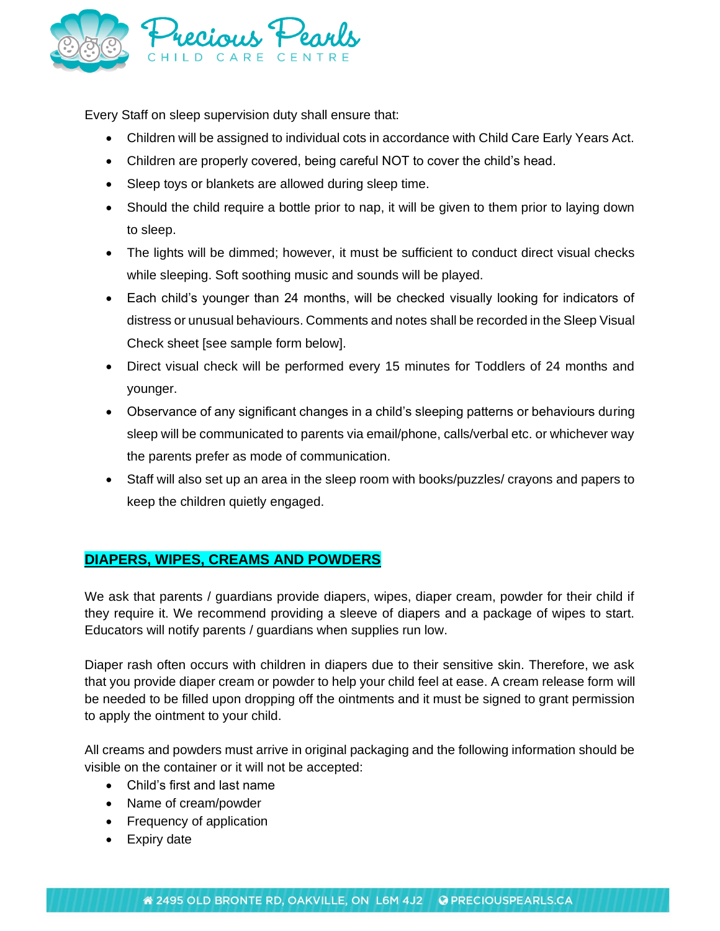

Every Staff on sleep supervision duty shall ensure that:

- Children will be assigned to individual cots in accordance with Child Care Early Years Act.
- Children are properly covered, being careful NOT to cover the child's head.
- Sleep toys or blankets are allowed during sleep time.
- Should the child require a bottle prior to nap, it will be given to them prior to laying down to sleep.
- The lights will be dimmed; however, it must be sufficient to conduct direct visual checks while sleeping. Soft soothing music and sounds will be played.
- Each child's younger than 24 months, will be checked visually looking for indicators of distress or unusual behaviours. Comments and notes shall be recorded in the Sleep Visual Check sheet [see sample form below].
- Direct visual check will be performed every 15 minutes for Toddlers of 24 months and younger.
- Observance of any significant changes in a child's sleeping patterns or behaviours during sleep will be communicated to parents via email/phone, calls/verbal etc. or whichever way the parents prefer as mode of communication.
- Staff will also set up an area in the sleep room with books/puzzles/ crayons and papers to keep the children quietly engaged.

# **DIAPERS, WIPES, CREAMS AND POWDERS**

We ask that parents / guardians provide diapers, wipes, diaper cream, powder for their child if they require it. We recommend providing a sleeve of diapers and a package of wipes to start. Educators will notify parents / guardians when supplies run low.

Diaper rash often occurs with children in diapers due to their sensitive skin. Therefore, we ask that you provide diaper cream or powder to help your child feel at ease. A cream release form will be needed to be filled upon dropping off the ointments and it must be signed to grant permission to apply the ointment to your child.

All creams and powders must arrive in original packaging and the following information should be visible on the container or it will not be accepted:

- Child's first and last name
- Name of cream/powder
- Frequency of application
- Expiry date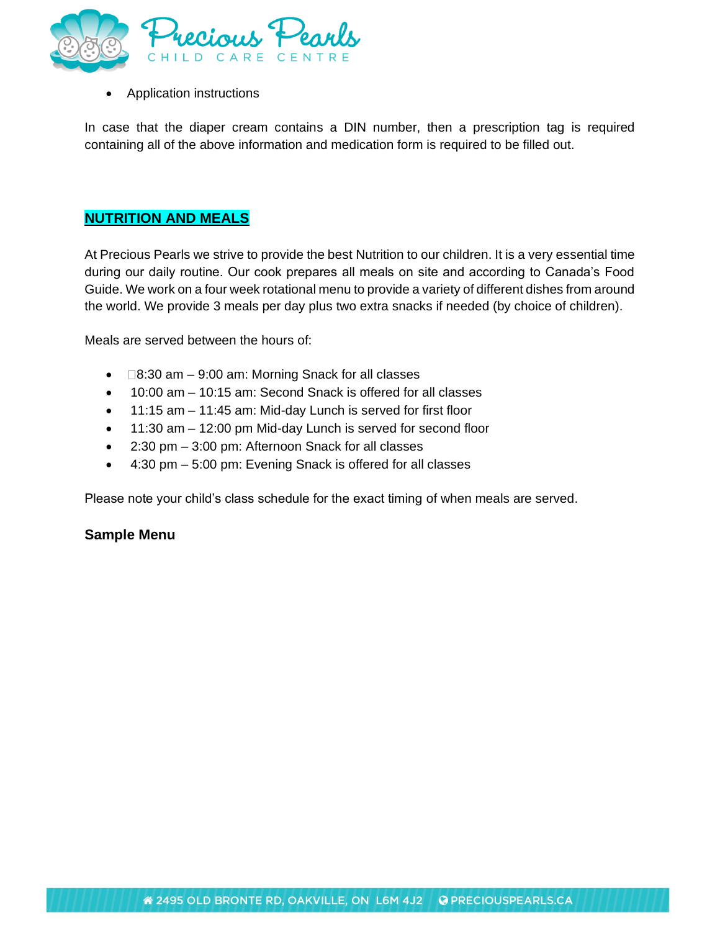

• Application instructions

In case that the diaper cream contains a DIN number, then a prescription tag is required containing all of the above information and medication form is required to be filled out.

### **NUTRITION AND MEALS**

At Precious Pearls we strive to provide the best Nutrition to our children. It is a very essential time during our daily routine. Our cook prepares all meals on site and according to Canada's Food Guide. We work on a four week rotational menu to provide a variety of different dishes from around the world. We provide 3 meals per day plus two extra snacks if needed (by choice of children).

Meals are served between the hours of:

- $\bullet$   $\Box$ 8:30 am 9:00 am: Morning Snack for all classes
- 10:00 am 10:15 am: Second Snack is offered for all classes
- 11:15 am 11:45 am: Mid-day Lunch is served for first floor
- 11:30 am 12:00 pm Mid-day Lunch is served for second floor
- 2:30 pm 3:00 pm: Afternoon Snack for all classes
- 4:30 pm 5:00 pm: Evening Snack is offered for all classes

Please note your child's class schedule for the exact timing of when meals are served.

#### **Sample Menu**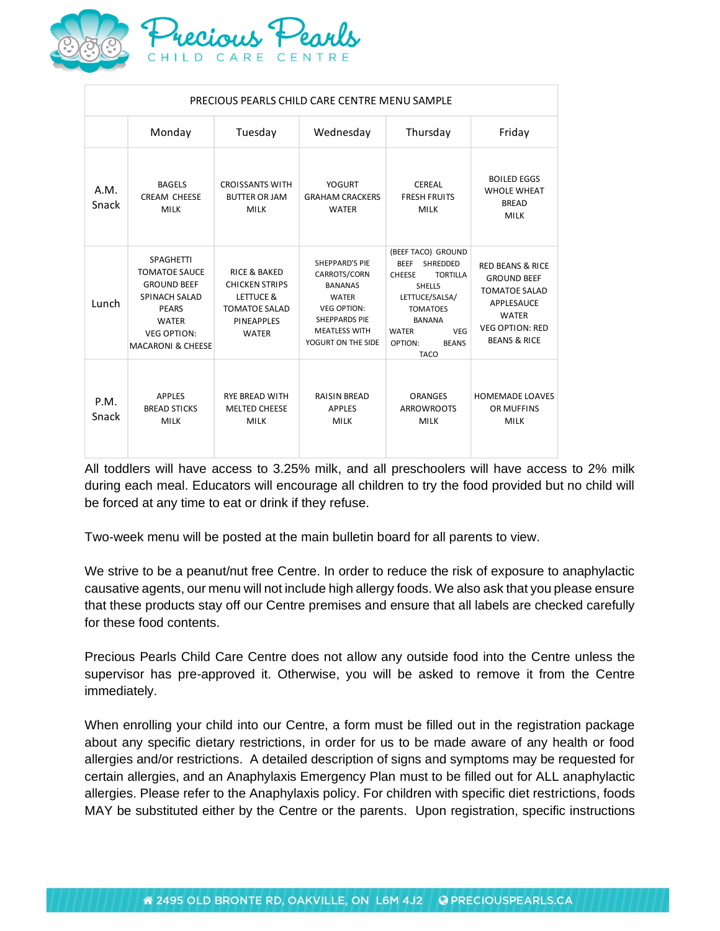

| PRECIOUS PEARLS CHILD CARE CENTRE MENU SAMPLE |                                                                                                                                                                              |                                                                                                                            |                                                                                                                                                                     |                                                                                                                                                                                                                 |                                                                                                                                                                     |
|-----------------------------------------------|------------------------------------------------------------------------------------------------------------------------------------------------------------------------------|----------------------------------------------------------------------------------------------------------------------------|---------------------------------------------------------------------------------------------------------------------------------------------------------------------|-----------------------------------------------------------------------------------------------------------------------------------------------------------------------------------------------------------------|---------------------------------------------------------------------------------------------------------------------------------------------------------------------|
|                                               | Monday                                                                                                                                                                       | Tuesday                                                                                                                    | Wednesday                                                                                                                                                           | Thursday                                                                                                                                                                                                        | Friday                                                                                                                                                              |
| A.M.<br>Snack                                 | <b>BAGELS</b><br><b>CREAM CHEESE</b><br><b>MILK</b>                                                                                                                          | <b>CROISSANTS WITH</b><br><b>BUTTER OR JAM</b><br><b>MILK</b>                                                              | <b>YOGURT</b><br><b>GRAHAM CRACKERS</b><br><b>WATER</b>                                                                                                             | CEREAL<br><b>FRESH FRUITS</b><br><b>MILK</b>                                                                                                                                                                    | <b>BOILED EGGS</b><br><b>WHOLE WHEAT</b><br><b>BREAD</b><br><b>MILK</b>                                                                                             |
| Lunch                                         | <b>SPAGHETTI</b><br><b>TOMATOE SAUCE</b><br><b>GROUND BEEF</b><br><b>SPINACH SALAD</b><br><b>PEARS</b><br><b>WATER</b><br><b>VEG OPTION:</b><br><b>MACARONI &amp; CHEESE</b> | <b>RICE &amp; BAKED</b><br><b>CHICKEN STRIPS</b><br>LETTUCE &<br><b>TOMATOE SALAD</b><br><b>PINEAPPLES</b><br><b>WATER</b> | <b>SHEPPARD'S PIE</b><br>CARROTS/CORN<br><b>BANANAS</b><br><b>WATER</b><br><b>VEG OPTION:</b><br><b>SHEPPARDS PIE</b><br><b>MEATLESS WITH</b><br>YOGURT ON THE SIDE | (BEEF TACO) GROUND<br>BEEF SHREDDED<br><b>TORTILLA</b><br><b>CHEESE</b><br><b>SHELLS</b><br>LETTUCE/SALSA/<br><b>TOMATOES</b><br><b>BANANA</b><br>VEG<br><b>WATER</b><br>OPTION:<br><b>BEANS</b><br><b>TACO</b> | <b>RED BEANS &amp; RICE</b><br><b>GROUND BEEF</b><br><b>TOMATOE SALAD</b><br><b>APPLESAUCE</b><br><b>WATER</b><br><b>VEG OPTION: RED</b><br><b>BEANS &amp; RICE</b> |
| P.M.<br>Snack                                 | <b>APPLES</b><br><b>BREAD STICKS</b><br><b>MILK</b>                                                                                                                          | <b>RYE BREAD WITH</b><br><b>MELTED CHEESE</b><br><b>MILK</b>                                                               | <b>RAISIN BREAD</b><br><b>APPLES</b><br><b>MILK</b>                                                                                                                 | <b>ORANGES</b><br><b>ARROWROOTS</b><br><b>MILK</b>                                                                                                                                                              | <b>HOMEMADE LOAVES</b><br>OR MUFFINS<br><b>MILK</b>                                                                                                                 |

All toddlers will have access to 3.25% milk, and all preschoolers will have access to 2% milk during each meal. Educators will encourage all children to try the food provided but no child will be forced at any time to eat or drink if they refuse.

Two-week menu will be posted at the main bulletin board for all parents to view.

We strive to be a peanut/nut free Centre. In order to reduce the risk of exposure to anaphylactic causative agents, our menu will not include high allergy foods. We also ask that you please ensure that these products stay off our Centre premises and ensure that all labels are checked carefully for these food contents.

Precious Pearls Child Care Centre does not allow any outside food into the Centre unless the supervisor has pre-approved it. Otherwise, you will be asked to remove it from the Centre immediately.

When enrolling your child into our Centre, a form must be filled out in the registration package about any specific dietary restrictions, in order for us to be made aware of any health or food allergies and/or restrictions. A detailed description of signs and symptoms may be requested for certain allergies, and an Anaphylaxis Emergency Plan must to be filled out for ALL anaphylactic allergies. Please refer to the Anaphylaxis policy. For children with specific diet restrictions, foods MAY be substituted either by the Centre or the parents. Upon registration, specific instructions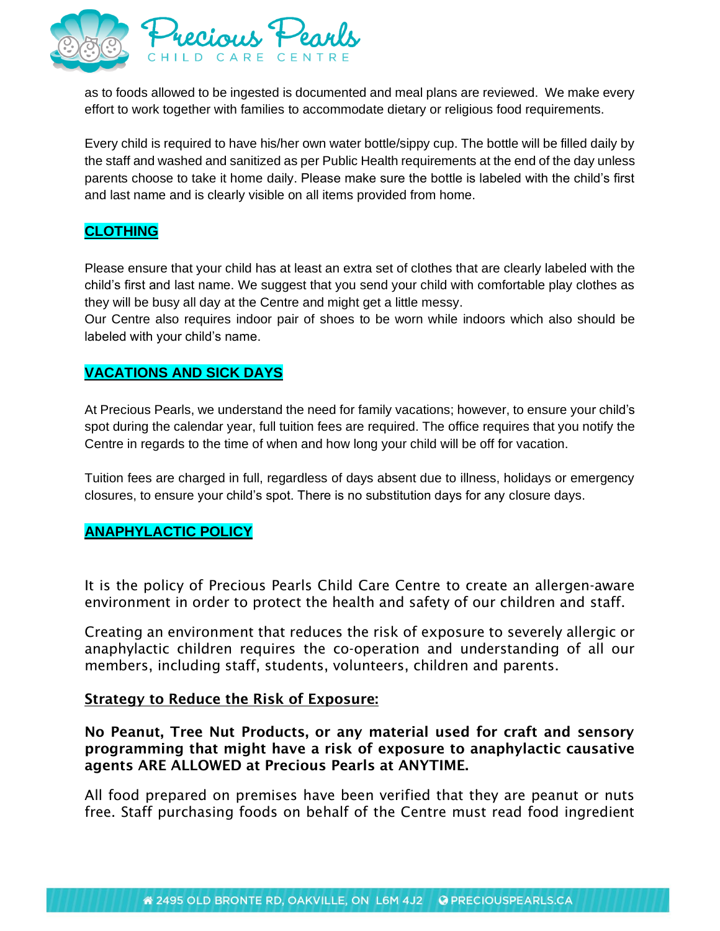

as to foods allowed to be ingested is documented and meal plans are reviewed. We make every effort to work together with families to accommodate dietary or religious food requirements.

Every child is required to have his/her own water bottle/sippy cup. The bottle will be filled daily by the staff and washed and sanitized as per Public Health requirements at the end of the day unless parents choose to take it home daily. Please make sure the bottle is labeled with the child's first and last name and is clearly visible on all items provided from home.

# **CLOTHING**

Please ensure that your child has at least an extra set of clothes that are clearly labeled with the child's first and last name. We suggest that you send your child with comfortable play clothes as they will be busy all day at the Centre and might get a little messy.

Our Centre also requires indoor pair of shoes to be worn while indoors which also should be labeled with your child's name.

## **VACATIONS AND SICK DAYS**

At Precious Pearls, we understand the need for family vacations; however, to ensure your child's spot during the calendar year, full tuition fees are required. The office requires that you notify the Centre in regards to the time of when and how long your child will be off for vacation.

Tuition fees are charged in full, regardless of days absent due to illness, holidays or emergency closures, to ensure your child's spot. There is no substitution days for any closure days.

#### **ANAPHYLACTIC POLICY**

It is the policy of Precious Pearls Child Care Centre to create an allergen-aware environment in order to protect the health and safety of our children and staff.

Creating an environment that reduces the risk of exposure to severely allergic or anaphylactic children requires the co-operation and understanding of all our members, including staff, students, volunteers, children and parents.

#### Strategy to Reduce the Risk of Exposure:

No Peanut, Tree Nut Products, or any material used for craft and sensory programming that might have a risk of exposure to anaphylactic causative agents ARE ALLOWED at Precious Pearls at ANYTIME.

All food prepared on premises have been verified that they are peanut or nuts free. Staff purchasing foods on behalf of the Centre must read food ingredient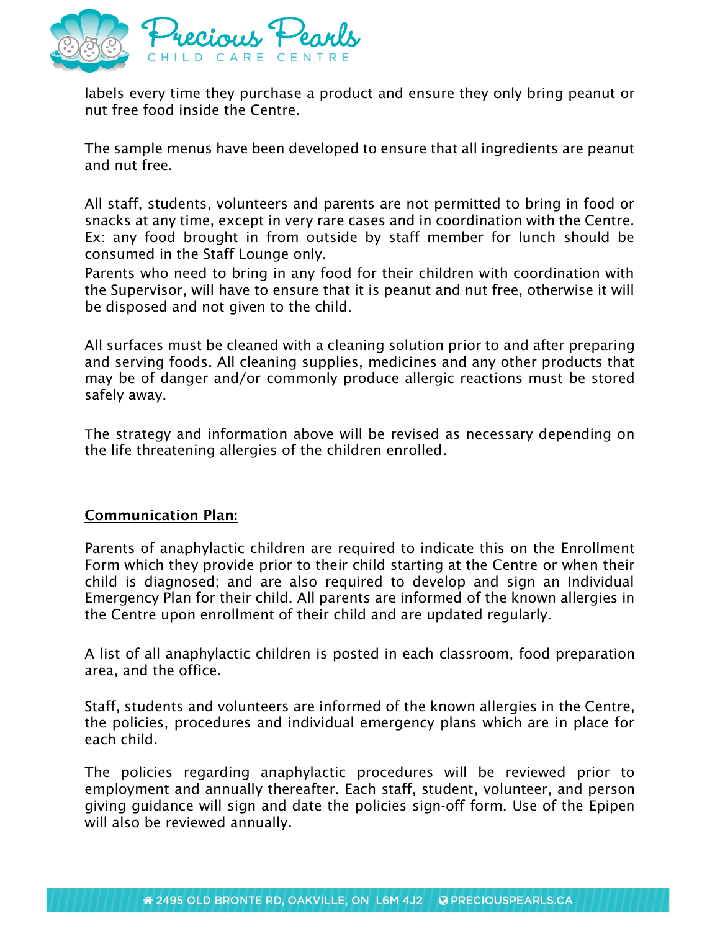

labels every time they purchase a product and ensure they only bring peanut or nut free food inside the Centre.

The sample menus have been developed to ensure that all ingredients are peanut and nut free.

All staff, students, volunteers and parents are not permitted to bring in food or snacks at any time, except in very rare cases and in coordination with the Centre. Ex: any food brought in from outside by staff member for lunch should be consumed in the Staff Lounge only.

Parents who need to bring in any food for their children with coordination with the Supervisor, will have to ensure that it is peanut and nut free, otherwise it will be disposed and not given to the child.

All surfaces must be cleaned with a cleaning solution prior to and after preparing and serving foods. All cleaning supplies, medicines and any other products that may be of danger and/or commonly produce allergic reactions must be stored safely away.

The strategy and information above will be revised as necessary depending on the life threatening allergies of the children enrolled.

# Communication Plan:

Parents of anaphylactic children are required to indicate this on the Enrollment Form which they provide prior to their child starting at the Centre or when their child is diagnosed; and are also required to develop and sign an Individual Emergency Plan for their child. All parents are informed of the known allergies in the Centre upon enrollment of their child and are updated regularly.

A list of all anaphylactic children is posted in each classroom, food preparation area, and the office.

Staff, students and volunteers are informed of the known allergies in the Centre, the policies, procedures and individual emergency plans which are in place for each child.

The policies regarding anaphylactic procedures will be reviewed prior to employment and annually thereafter. Each staff, student, volunteer, and person giving guidance will sign and date the policies sign-off form. Use of the Epipen will also be reviewed annually.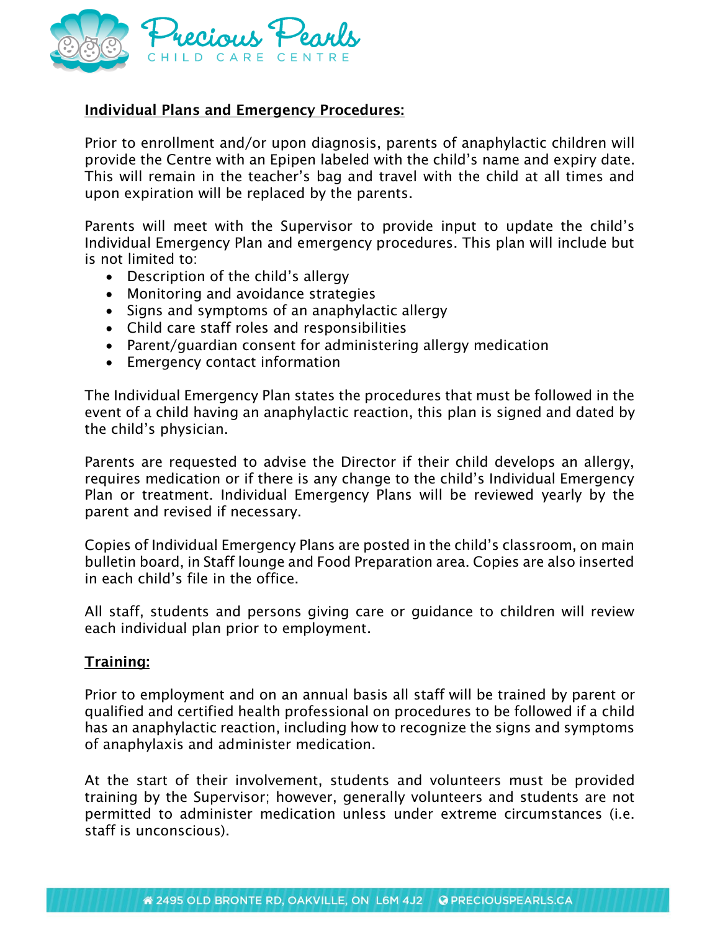

# Individual Plans and Emergency Procedures:

Prior to enrollment and/or upon diagnosis, parents of anaphylactic children will provide the Centre with an Epipen labeled with the child's name and expiry date. This will remain in the teacher's bag and travel with the child at all times and upon expiration will be replaced by the parents.

Parents will meet with the Supervisor to provide input to update the child's Individual Emergency Plan and emergency procedures. This plan will include but is not limited to:

- Description of the child's allergy
- Monitoring and avoidance strategies
- Signs and symptoms of an anaphylactic allergy
- Child care staff roles and responsibilities
- Parent/guardian consent for administering allergy medication
- Emergency contact information

The Individual Emergency Plan states the procedures that must be followed in the event of a child having an anaphylactic reaction, this plan is signed and dated by the child's physician.

Parents are requested to advise the Director if their child develops an allergy, requires medication or if there is any change to the child's Individual Emergency Plan or treatment. Individual Emergency Plans will be reviewed yearly by the parent and revised if necessary.

Copies of Individual Emergency Plans are posted in the child's classroom, on main bulletin board, in Staff lounge and Food Preparation area. Copies are also inserted in each child's file in the office.

All staff, students and persons giving care or guidance to children will review each individual plan prior to employment.

### Training:

Prior to employment and on an annual basis all staff will be trained by parent or qualified and certified health professional on procedures to be followed if a child has an anaphylactic reaction, including how to recognize the signs and symptoms of anaphylaxis and administer medication.

At the start of their involvement, students and volunteers must be provided training by the Supervisor; however, generally volunteers and students are not permitted to administer medication unless under extreme circumstances (i.e. staff is unconscious).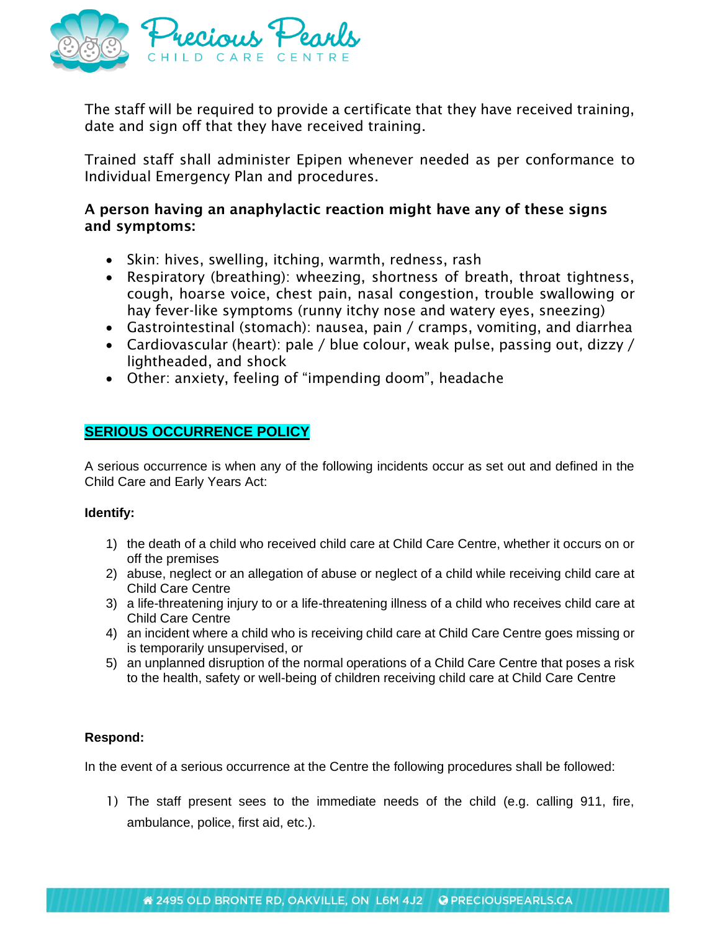

The staff will be required to provide a certificate that they have received training, date and sign off that they have received training.

Trained staff shall administer Epipen whenever needed as per conformance to Individual Emergency Plan and procedures.

## A person having an anaphylactic reaction might have any of these signs and symptoms:

- Skin: hives, swelling, itching, warmth, redness, rash
- Respiratory (breathing): wheezing, shortness of breath, throat tightness, cough, hoarse voice, chest pain, nasal congestion, trouble swallowing or hay fever-like symptoms (runny itchy nose and watery eyes, sneezing)
- Gastrointestinal (stomach): nausea, pain / cramps, vomiting, and diarrhea
- Cardiovascular (heart): pale / blue colour, weak pulse, passing out, dizzy / lightheaded, and shock
- Other: anxiety, feeling of "impending doom", headache

## **SERIOUS OCCURRENCE POLICY**

A serious occurrence is when any of the following incidents occur as set out and defined in the Child Care and Early Years Act:

#### **Identify:**

- 1) the death of a child who received child care at Child Care Centre, whether it occurs on or off the premises
- 2) abuse, neglect or an allegation of abuse or neglect of a child while receiving child care at Child Care Centre
- 3) a life-threatening injury to or a life-threatening illness of a child who receives child care at Child Care Centre
- 4) an incident where a child who is receiving child care at Child Care Centre goes missing or is temporarily unsupervised, or
- 5) an unplanned disruption of the normal operations of a Child Care Centre that poses a risk to the health, safety or well-being of children receiving child care at Child Care Centre

### **Respond:**

In the event of a serious occurrence at the Centre the following procedures shall be followed:

1) The staff present sees to the immediate needs of the child (e.g. calling 911, fire, ambulance, police, first aid, etc.).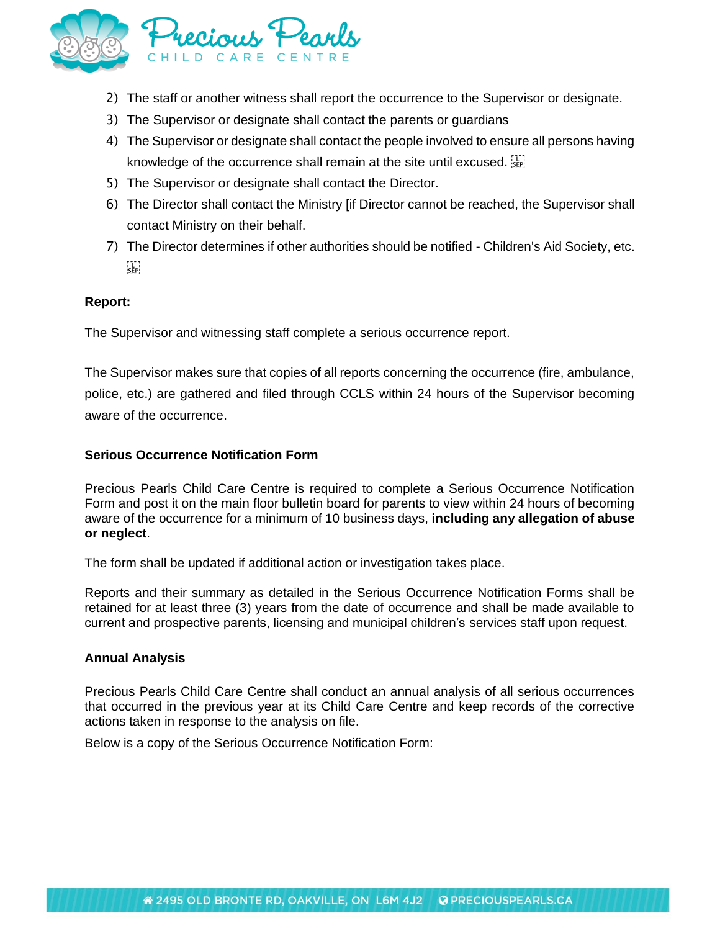

- 2) The staff or another witness shall report the occurrence to the Supervisor or designate.
- 3) The Supervisor or designate shall contact the parents or guardians
- 4) The Supervisor or designate shall contact the people involved to ensure all persons having knowledge of the occurrence shall remain at the site until excused. Signtle
- 5) The Supervisor or designate shall contact the Director.
- 6) The Director shall contact the Ministry [if Director cannot be reached, the Supervisor shall contact Ministry on their behalf.
- 7) The Director determines if other authorities should be notified Children's Aid Society, etc.  $\sum_{i \in P}$

#### **Report:**

The Supervisor and witnessing staff complete a serious occurrence report.

The Supervisor makes sure that copies of all reports concerning the occurrence (fire, ambulance, police, etc.) are gathered and filed through CCLS within 24 hours of the Supervisor becoming aware of the occurrence.

#### **Serious Occurrence Notification Form**

Precious Pearls Child Care Centre is required to complete a Serious Occurrence Notification Form and post it on the main floor bulletin board for parents to view within 24 hours of becoming aware of the occurrence for a minimum of 10 business days, **including any allegation of abuse or neglect**.

The form shall be updated if additional action or investigation takes place.

Reports and their summary as detailed in the Serious Occurrence Notification Forms shall be retained for at least three (3) years from the date of occurrence and shall be made available to current and prospective parents, licensing and municipal children's services staff upon request.

#### **Annual Analysis**

Precious Pearls Child Care Centre shall conduct an annual analysis of all serious occurrences that occurred in the previous year at its Child Care Centre and keep records of the corrective actions taken in response to the analysis on file.

Below is a copy of the Serious Occurrence Notification Form: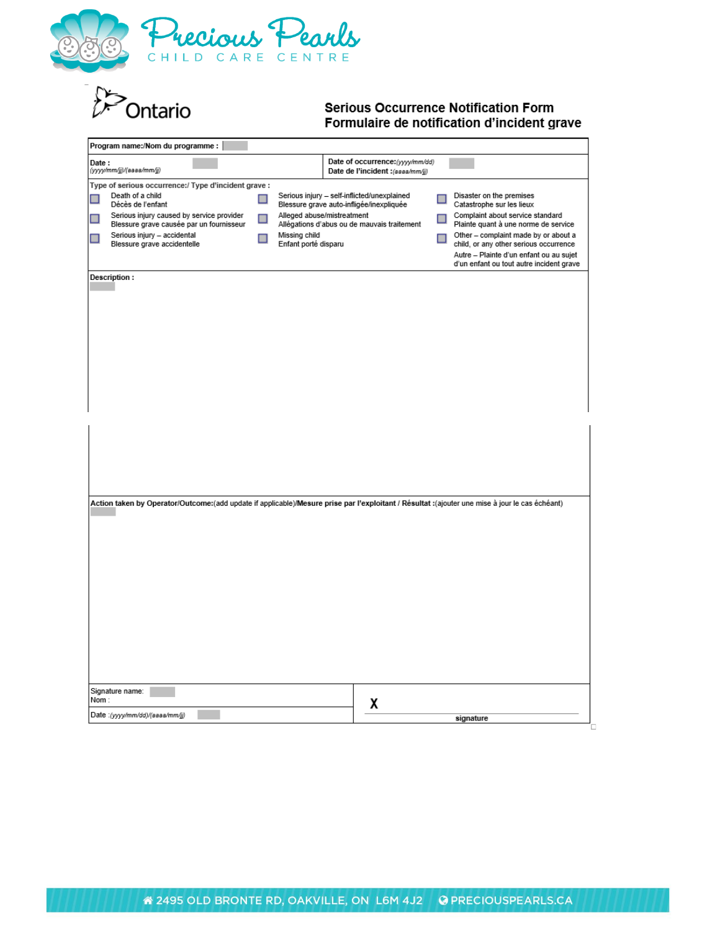

**D**<br>Ontario

#### **Serious Occurrence Notification Form** Formulaire de notification d'incident grave

| Program name:/Nom du programme :                                                                                                               |               |                                                                                         |  |                                                                                                                                                                       |  |
|------------------------------------------------------------------------------------------------------------------------------------------------|---------------|-----------------------------------------------------------------------------------------|--|-----------------------------------------------------------------------------------------------------------------------------------------------------------------------|--|
| Date:<br>(yyyy/mm/jj)/(aaaa/mm/jj)                                                                                                             |               | Date of occurrence: (yyyy/mm/dd)<br>Date de l'incident : (assa/mm/jj)                   |  |                                                                                                                                                                       |  |
| Type of serious occurrence:/ Type d'incident grave :                                                                                           |               |                                                                                         |  |                                                                                                                                                                       |  |
| Death of a child<br>Décès de l'enfant                                                                                                          | $\Box$        | Serious injury - self-inflicted/unexplained<br>Blessure grave auto-infligée/inexpliquée |  | Disaster on the premises<br>Catastrophe sur les lieux                                                                                                                 |  |
| Serious injury caused by service provider<br>Blessure grave causée par un fournisseur                                                          | $\Box$        | Alleged abuse/mistreatment<br>Allégations d'abus ou de mauvais traitement               |  | Complaint about service standard<br>Plainte quant à une norme de service                                                                                              |  |
| Serious injury - accidental<br>H<br>Blessure grave accidentelle                                                                                | Missing child | Enfant porté disparu                                                                    |  | Other - complaint made by or about a<br>child, or any other serious occurrence<br>Autre - Plainte d'un enfant ou au sujet<br>d'un enfant ou tout autre incident grave |  |
| Description:                                                                                                                                   |               |                                                                                         |  |                                                                                                                                                                       |  |
|                                                                                                                                                |               |                                                                                         |  |                                                                                                                                                                       |  |
| (ajouter une mise à jour le cas échéant): Action taken by Operator/Outcome:(add update if applicable)/Mesure prise par l'exploitant / Résultat |               |                                                                                         |  |                                                                                                                                                                       |  |
|                                                                                                                                                |               |                                                                                         |  |                                                                                                                                                                       |  |
| Signature name:<br>Nom:                                                                                                                        |               | χ                                                                                       |  |                                                                                                                                                                       |  |
| Date: (yyyy/mm/dd)/(aaaa/mm/jj)<br>signature                                                                                                   |               |                                                                                         |  |                                                                                                                                                                       |  |
|                                                                                                                                                |               |                                                                                         |  |                                                                                                                                                                       |  |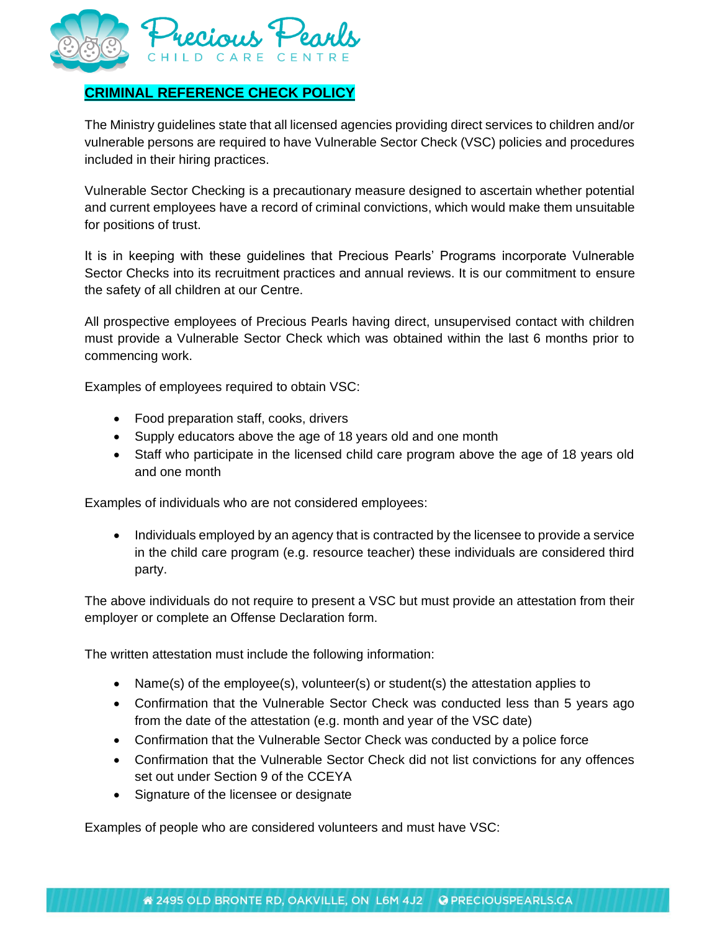

# **CRIMINAL REFERENCE CHECK POLICY**

The Ministry guidelines state that all licensed agencies providing direct services to children and/or vulnerable persons are required to have Vulnerable Sector Check (VSC) policies and procedures included in their hiring practices.

Vulnerable Sector Checking is a precautionary measure designed to ascertain whether potential and current employees have a record of criminal convictions, which would make them unsuitable for positions of trust.

It is in keeping with these guidelines that Precious Pearls' Programs incorporate Vulnerable Sector Checks into its recruitment practices and annual reviews. It is our commitment to ensure the safety of all children at our Centre.

All prospective employees of Precious Pearls having direct, unsupervised contact with children must provide a Vulnerable Sector Check which was obtained within the last 6 months prior to commencing work.

Examples of employees required to obtain VSC:

- Food preparation staff, cooks, drivers
- Supply educators above the age of 18 years old and one month
- Staff who participate in the licensed child care program above the age of 18 years old and one month

Examples of individuals who are not considered employees:

• Individuals employed by an agency that is contracted by the licensee to provide a service in the child care program (e.g. resource teacher) these individuals are considered third party.

The above individuals do not require to present a VSC but must provide an attestation from their employer or complete an Offense Declaration form.

The written attestation must include the following information:

- Name(s) of the employee(s), volunteer(s) or student(s) the attestation applies to
- Confirmation that the Vulnerable Sector Check was conducted less than 5 years ago from the date of the attestation (e.g. month and year of the VSC date)
- Confirmation that the Vulnerable Sector Check was conducted by a police force
- Confirmation that the Vulnerable Sector Check did not list convictions for any offences set out under Section 9 of the CCEYA
- Signature of the licensee or designate

Examples of people who are considered volunteers and must have VSC: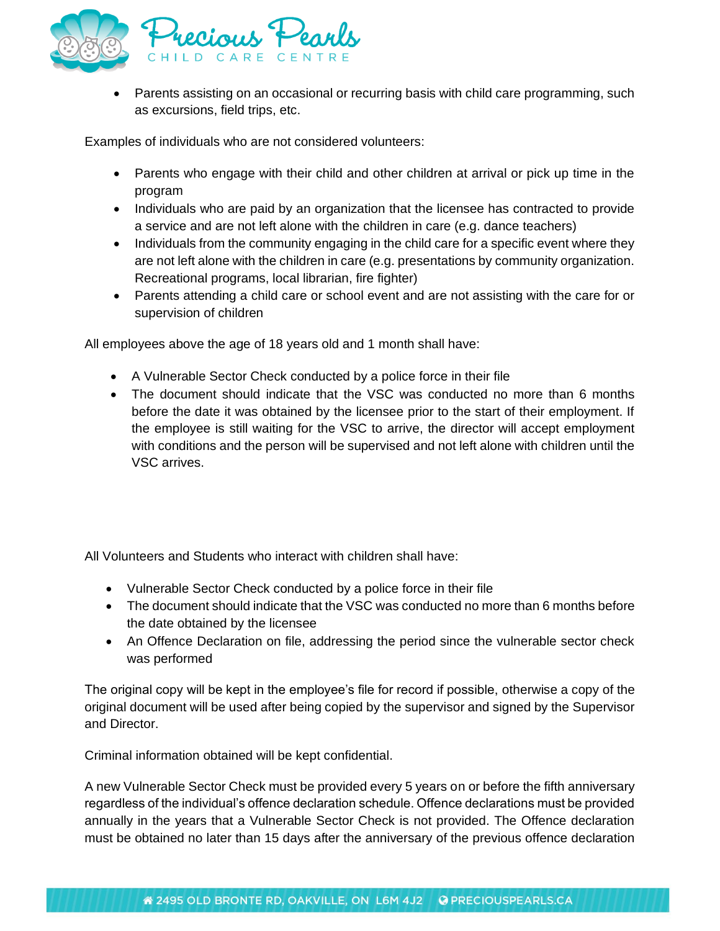

• Parents assisting on an occasional or recurring basis with child care programming, such as excursions, field trips, etc.

Examples of individuals who are not considered volunteers:

- Parents who engage with their child and other children at arrival or pick up time in the program
- Individuals who are paid by an organization that the licensee has contracted to provide a service and are not left alone with the children in care (e.g. dance teachers)
- Individuals from the community engaging in the child care for a specific event where they are not left alone with the children in care (e.g. presentations by community organization. Recreational programs, local librarian, fire fighter)
- Parents attending a child care or school event and are not assisting with the care for or supervision of children

All employees above the age of 18 years old and 1 month shall have:

- A Vulnerable Sector Check conducted by a police force in their file
- The document should indicate that the VSC was conducted no more than 6 months before the date it was obtained by the licensee prior to the start of their employment. If the employee is still waiting for the VSC to arrive, the director will accept employment with conditions and the person will be supervised and not left alone with children until the VSC arrives.

All Volunteers and Students who interact with children shall have:

- Vulnerable Sector Check conducted by a police force in their file
- The document should indicate that the VSC was conducted no more than 6 months before the date obtained by the licensee
- An Offence Declaration on file, addressing the period since the vulnerable sector check was performed

The original copy will be kept in the employee's file for record if possible, otherwise a copy of the original document will be used after being copied by the supervisor and signed by the Supervisor and Director.

Criminal information obtained will be kept confidential.

A new Vulnerable Sector Check must be provided every 5 years on or before the fifth anniversary regardless of the individual's offence declaration schedule. Offence declarations must be provided annually in the years that a Vulnerable Sector Check is not provided. The Offence declaration must be obtained no later than 15 days after the anniversary of the previous offence declaration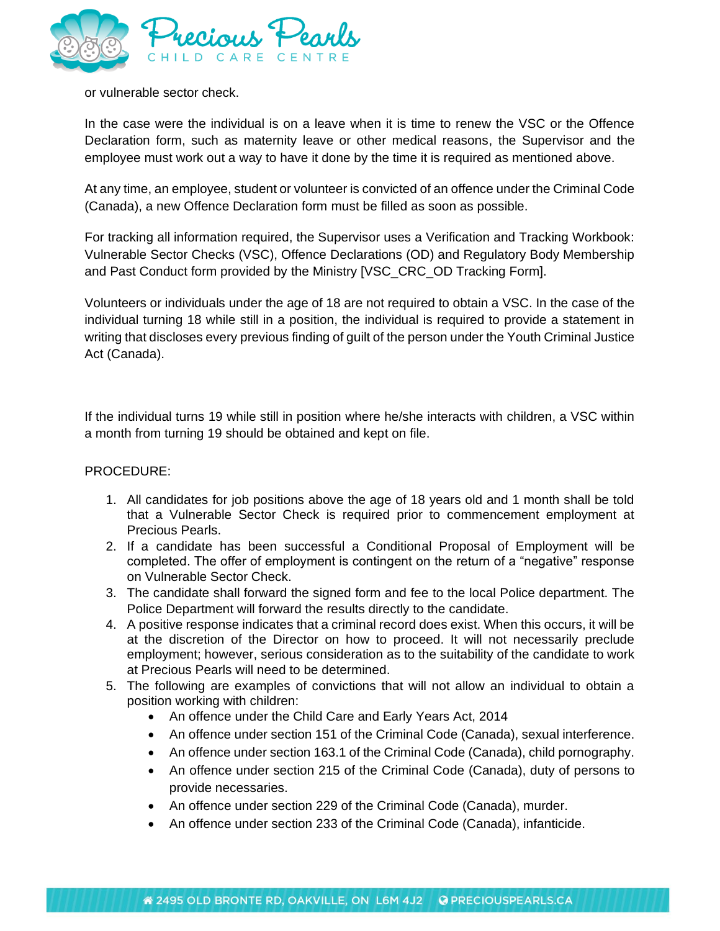

or vulnerable sector check.

In the case were the individual is on a leave when it is time to renew the VSC or the Offence Declaration form, such as maternity leave or other medical reasons, the Supervisor and the employee must work out a way to have it done by the time it is required as mentioned above.

At any time, an employee, student or volunteer is convicted of an offence under the Criminal Code (Canada), a new Offence Declaration form must be filled as soon as possible.

For tracking all information required, the Supervisor uses a Verification and Tracking Workbook: Vulnerable Sector Checks (VSC), Offence Declarations (OD) and Regulatory Body Membership and Past Conduct form provided by the Ministry [VSC\_CRC\_OD Tracking Form].

Volunteers or individuals under the age of 18 are not required to obtain a VSC. In the case of the individual turning 18 while still in a position, the individual is required to provide a statement in writing that discloses every previous finding of guilt of the person under the Youth Criminal Justice Act (Canada).

If the individual turns 19 while still in position where he/she interacts with children, a VSC within a month from turning 19 should be obtained and kept on file.

#### PROCEDURE:

- 1. All candidates for job positions above the age of 18 years old and 1 month shall be told that a Vulnerable Sector Check is required prior to commencement employment at Precious Pearls.
- 2. If a candidate has been successful a Conditional Proposal of Employment will be completed. The offer of employment is contingent on the return of a "negative" response on Vulnerable Sector Check.
- 3. The candidate shall forward the signed form and fee to the local Police department. The Police Department will forward the results directly to the candidate.
- 4. A positive response indicates that a criminal record does exist. When this occurs, it will be at the discretion of the Director on how to proceed. It will not necessarily preclude employment; however, serious consideration as to the suitability of the candidate to work at Precious Pearls will need to be determined.
- 5. The following are examples of convictions that will not allow an individual to obtain a position working with children:
	- An offence under the Child Care and Early Years Act, 2014
	- An offence under section 151 of the Criminal Code (Canada), sexual interference.
	- An offence under section 163.1 of the Criminal Code (Canada), child pornography.
	- An offence under section 215 of the Criminal Code (Canada), duty of persons to provide necessaries.
	- An offence under section 229 of the Criminal Code (Canada), murder.
	- An offence under section 233 of the Criminal Code (Canada), infanticide.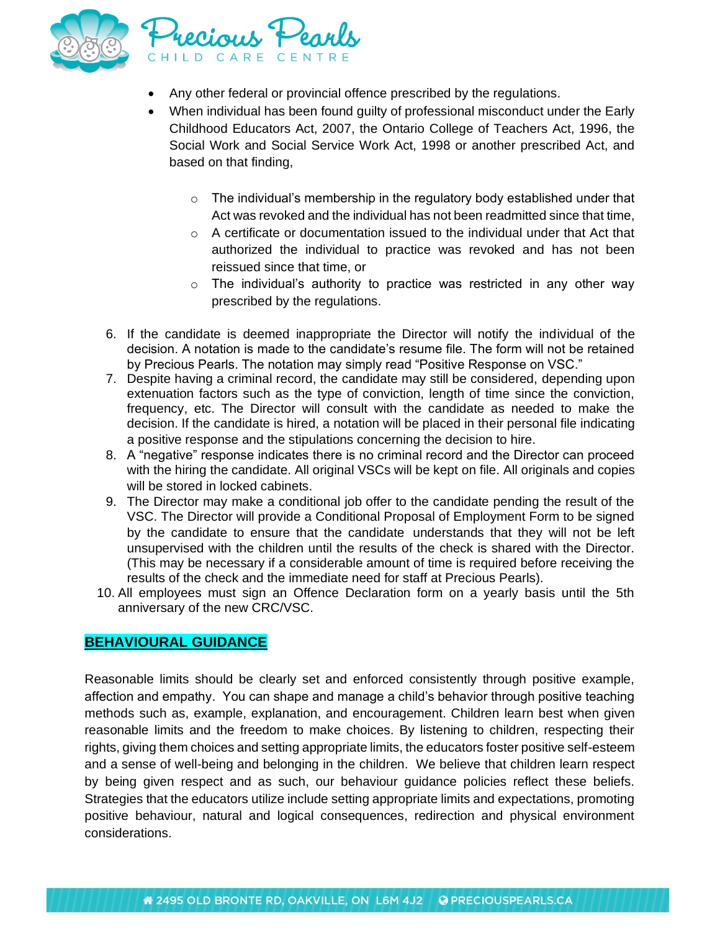

- Any other federal or provincial offence prescribed by the regulations.
- When individual has been found guilty of professional misconduct under the Early Childhood Educators Act, 2007, the Ontario College of Teachers Act, 1996, the Social Work and Social Service Work Act, 1998 or another prescribed Act, and based on that finding,
	- $\circ$  The individual's membership in the regulatory body established under that Act was revoked and the individual has not been readmitted since that time,
	- $\circ$  A certificate or documentation issued to the individual under that Act that authorized the individual to practice was revoked and has not been reissued since that time, or
	- o The individual's authority to practice was restricted in any other way prescribed by the regulations.
- 6. If the candidate is deemed inappropriate the Director will notify the individual of the decision. A notation is made to the candidate's resume file. The form will not be retained by Precious Pearls. The notation may simply read "Positive Response on VSC."
- 7. Despite having a criminal record, the candidate may still be considered, depending upon extenuation factors such as the type of conviction, length of time since the conviction, frequency, etc. The Director will consult with the candidate as needed to make the decision. If the candidate is hired, a notation will be placed in their personal file indicating a positive response and the stipulations concerning the decision to hire.
- 8. A "negative" response indicates there is no criminal record and the Director can proceed with the hiring the candidate. All original VSCs will be kept on file. All originals and copies will be stored in locked cabinets.
- 9. The Director may make a conditional job offer to the candidate pending the result of the VSC. The Director will provide a Conditional Proposal of Employment Form to be signed by the candidate to ensure that the candidate understands that they will not be left unsupervised with the children until the results of the check is shared with the Director. (This may be necessary if a considerable amount of time is required before receiving the results of the check and the immediate need for staff at Precious Pearls).
- 10. All employees must sign an Offence Declaration form on a yearly basis until the 5th anniversary of the new CRC/VSC.

### **BEHAVIOURAL GUIDANCE**

Reasonable limits should be clearly set and enforced consistently through positive example, affection and empathy. You can shape and manage a child's behavior through positive teaching methods such as, example, explanation, and encouragement. Children learn best when given reasonable limits and the freedom to make choices. By listening to children, respecting their rights, giving them choices and setting appropriate limits, the educators foster positive self-esteem and a sense of well-being and belonging in the children. We believe that children learn respect by being given respect and as such, our behaviour guidance policies reflect these beliefs. Strategies that the educators utilize include setting appropriate limits and expectations, promoting positive behaviour, natural and logical consequences, redirection and physical environment considerations.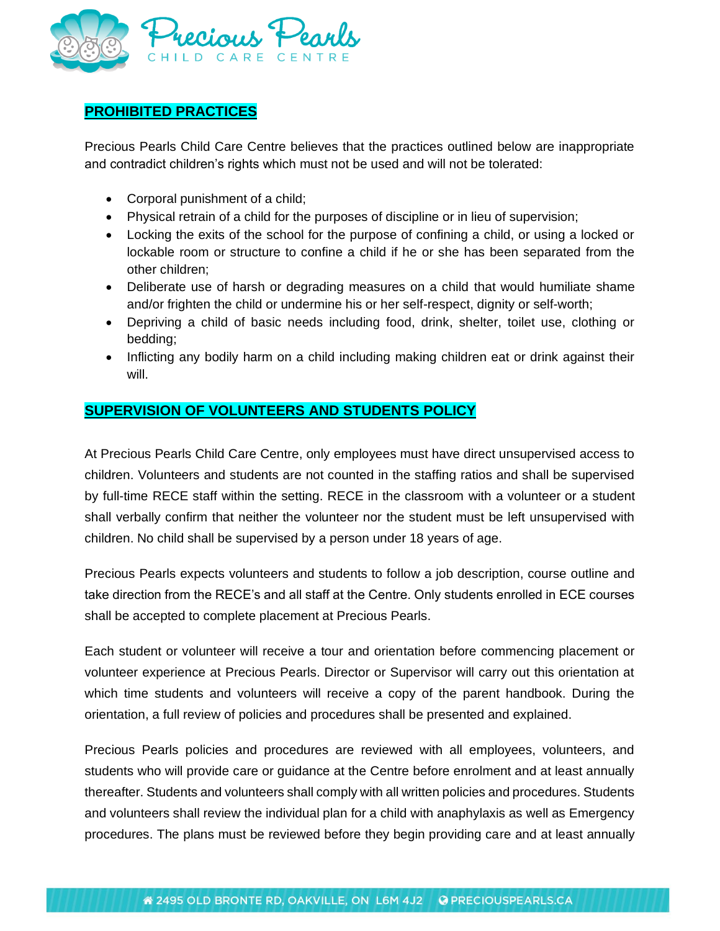

# **PROHIBITED PRACTICES**

Precious Pearls Child Care Centre believes that the practices outlined below are inappropriate and contradict children's rights which must not be used and will not be tolerated:

- Corporal punishment of a child;
- Physical retrain of a child for the purposes of discipline or in lieu of supervision;
- Locking the exits of the school for the purpose of confining a child, or using a locked or lockable room or structure to confine a child if he or she has been separated from the other children;
- Deliberate use of harsh or degrading measures on a child that would humiliate shame and/or frighten the child or undermine his or her self-respect, dignity or self-worth;
- Depriving a child of basic needs including food, drink, shelter, toilet use, clothing or bedding;
- Inflicting any bodily harm on a child including making children eat or drink against their will.

## **SUPERVISION OF VOLUNTEERS AND STUDENTS POLICY**

At Precious Pearls Child Care Centre, only employees must have direct unsupervised access to children. Volunteers and students are not counted in the staffing ratios and shall be supervised by full-time RECE staff within the setting. RECE in the classroom with a volunteer or a student shall verbally confirm that neither the volunteer nor the student must be left unsupervised with children. No child shall be supervised by a person under 18 years of age.

Precious Pearls expects volunteers and students to follow a job description, course outline and take direction from the RECE's and all staff at the Centre. Only students enrolled in ECE courses shall be accepted to complete placement at Precious Pearls.

Each student or volunteer will receive a tour and orientation before commencing placement or volunteer experience at Precious Pearls. Director or Supervisor will carry out this orientation at which time students and volunteers will receive a copy of the parent handbook. During the orientation, a full review of policies and procedures shall be presented and explained.

Precious Pearls policies and procedures are reviewed with all employees, volunteers, and students who will provide care or guidance at the Centre before enrolment and at least annually thereafter. Students and volunteers shall comply with all written policies and procedures. Students and volunteers shall review the individual plan for a child with anaphylaxis as well as Emergency procedures. The plans must be reviewed before they begin providing care and at least annually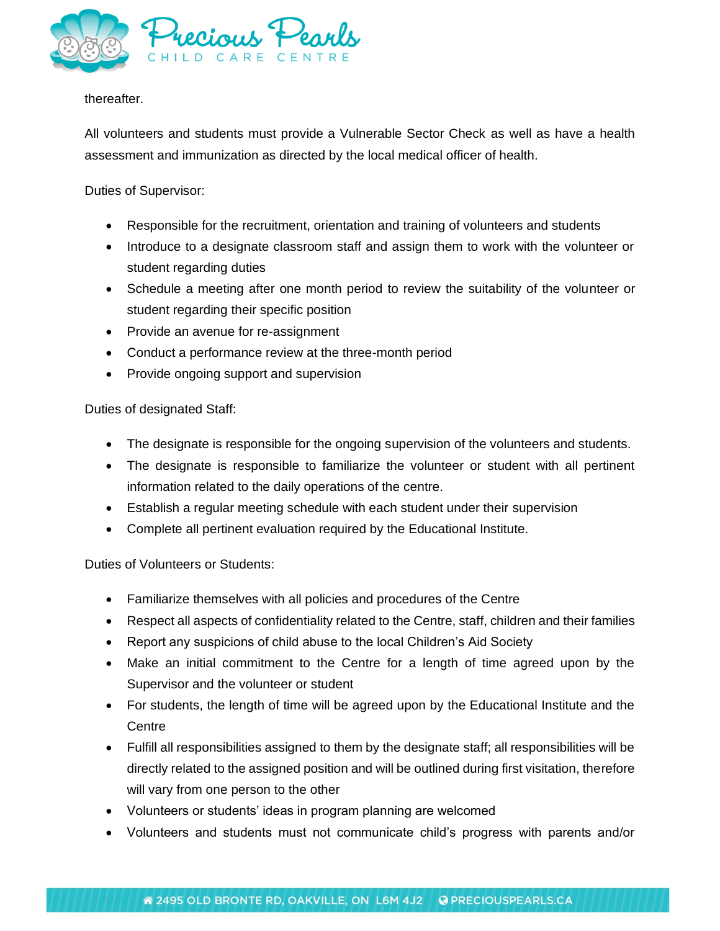

#### thereafter.

All volunteers and students must provide a Vulnerable Sector Check as well as have a health assessment and immunization as directed by the local medical officer of health.

Duties of Supervisor:

- Responsible for the recruitment, orientation and training of volunteers and students
- Introduce to a designate classroom staff and assign them to work with the volunteer or student regarding duties
- Schedule a meeting after one month period to review the suitability of the volunteer or student regarding their specific position
- Provide an avenue for re-assignment
- Conduct a performance review at the three-month period
- Provide ongoing support and supervision

Duties of designated Staff:

- The designate is responsible for the ongoing supervision of the volunteers and students.
- The designate is responsible to familiarize the volunteer or student with all pertinent information related to the daily operations of the centre.
- Establish a regular meeting schedule with each student under their supervision
- Complete all pertinent evaluation required by the Educational Institute.

Duties of Volunteers or Students:

- Familiarize themselves with all policies and procedures of the Centre
- Respect all aspects of confidentiality related to the Centre, staff, children and their families
- Report any suspicions of child abuse to the local Children's Aid Society
- Make an initial commitment to the Centre for a length of time agreed upon by the Supervisor and the volunteer or student
- For students, the length of time will be agreed upon by the Educational Institute and the **Centre**
- Fulfill all responsibilities assigned to them by the designate staff; all responsibilities will be directly related to the assigned position and will be outlined during first visitation, therefore will vary from one person to the other
- Volunteers or students' ideas in program planning are welcomed
- Volunteers and students must not communicate child's progress with parents and/or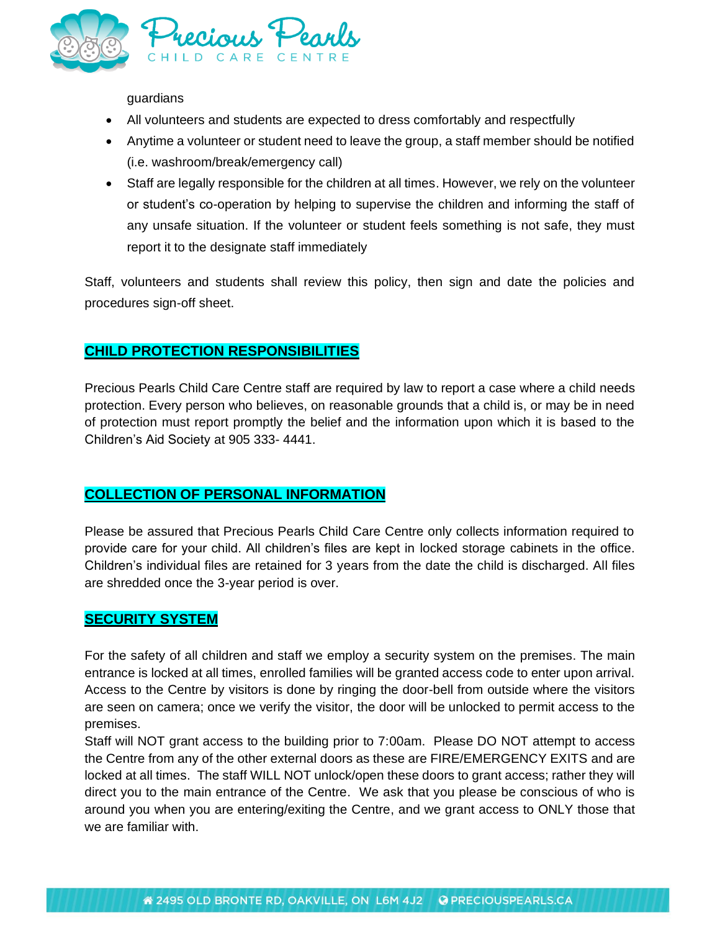

guardians

- All volunteers and students are expected to dress comfortably and respectfully
- Anytime a volunteer or student need to leave the group, a staff member should be notified (i.e. washroom/break/emergency call)
- Staff are legally responsible for the children at all times. However, we rely on the volunteer or student's co-operation by helping to supervise the children and informing the staff of any unsafe situation. If the volunteer or student feels something is not safe, they must report it to the designate staff immediately

Staff, volunteers and students shall review this policy, then sign and date the policies and procedures sign-off sheet.

## **CHILD PROTECTION RESPONSIBILITIES**

Precious Pearls Child Care Centre staff are required by law to report a case where a child needs protection. Every person who believes, on reasonable grounds that a child is, or may be in need of protection must report promptly the belief and the information upon which it is based to the Children's Aid Society at 905 333- 4441.

### **COLLECTION OF PERSONAL INFORMATION**

Please be assured that Precious Pearls Child Care Centre only collects information required to provide care for your child. All children's files are kept in locked storage cabinets in the office. Children's individual files are retained for 3 years from the date the child is discharged. All files are shredded once the 3-year period is over.

### **SECURITY SYSTEM**

For the safety of all children and staff we employ a security system on the premises. The main entrance is locked at all times, enrolled families will be granted access code to enter upon arrival. Access to the Centre by visitors is done by ringing the door-bell from outside where the visitors are seen on camera; once we verify the visitor, the door will be unlocked to permit access to the premises.

Staff will NOT grant access to the building prior to 7:00am. Please DO NOT attempt to access the Centre from any of the other external doors as these are FIRE/EMERGENCY EXITS and are locked at all times. The staff WILL NOT unlock/open these doors to grant access; rather they will direct you to the main entrance of the Centre. We ask that you please be conscious of who is around you when you are entering/exiting the Centre, and we grant access to ONLY those that we are familiar with.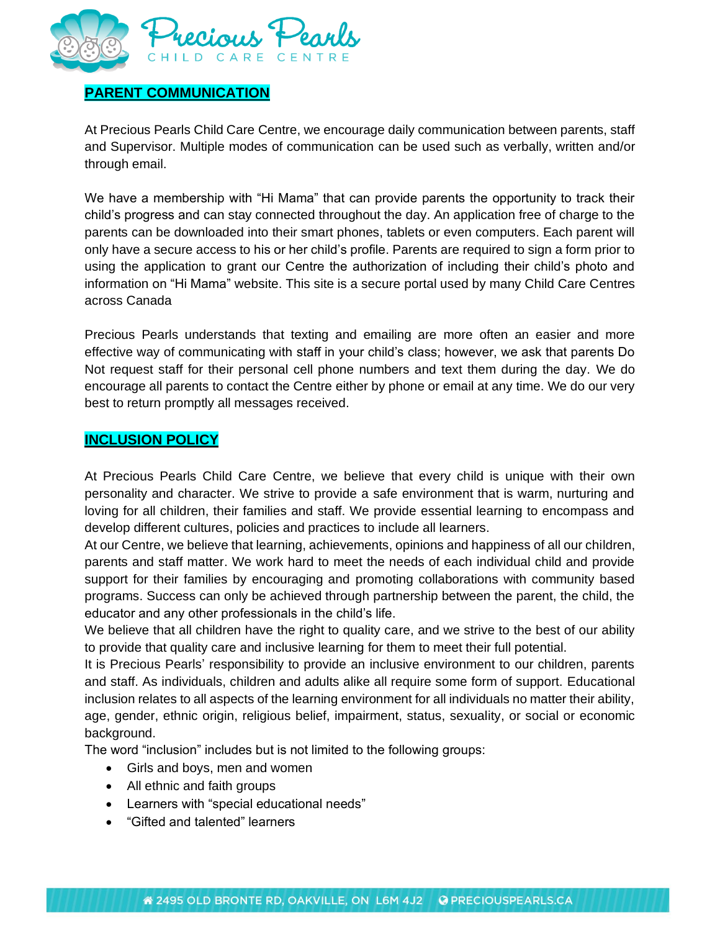

### **PARENT COMMUNICATION**

At Precious Pearls Child Care Centre, we encourage daily communication between parents, staff and Supervisor. Multiple modes of communication can be used such as verbally, written and/or through email.

We have a membership with "Hi Mama" that can provide parents the opportunity to track their child's progress and can stay connected throughout the day. An application free of charge to the parents can be downloaded into their smart phones, tablets or even computers. Each parent will only have a secure access to his or her child's profile. Parents are required to sign a form prior to using the application to grant our Centre the authorization of including their child's photo and information on "Hi Mama" website. This site is a secure portal used by many Child Care Centres across Canada

Precious Pearls understands that texting and emailing are more often an easier and more effective way of communicating with staff in your child's class; however, we ask that parents Do Not request staff for their personal cell phone numbers and text them during the day. We do encourage all parents to contact the Centre either by phone or email at any time. We do our very best to return promptly all messages received.

### **INCLUSION POLICY**

At Precious Pearls Child Care Centre, we believe that every child is unique with their own personality and character. We strive to provide a safe environment that is warm, nurturing and loving for all children, their families and staff. We provide essential learning to encompass and develop different cultures, policies and practices to include all learners.

At our Centre, we believe that learning, achievements, opinions and happiness of all our children, parents and staff matter. We work hard to meet the needs of each individual child and provide support for their families by encouraging and promoting collaborations with community based programs. Success can only be achieved through partnership between the parent, the child, the educator and any other professionals in the child's life.

We believe that all children have the right to quality care, and we strive to the best of our ability to provide that quality care and inclusive learning for them to meet their full potential.

It is Precious Pearls' responsibility to provide an inclusive environment to our children, parents and staff. As individuals, children and adults alike all require some form of support. Educational inclusion relates to all aspects of the learning environment for all individuals no matter their ability, age, gender, ethnic origin, religious belief, impairment, status, sexuality, or social or economic background.

The word "inclusion" includes but is not limited to the following groups:

- Girls and boys, men and women
- All ethnic and faith groups
- Learners with "special educational needs"
- "Gifted and talented" learners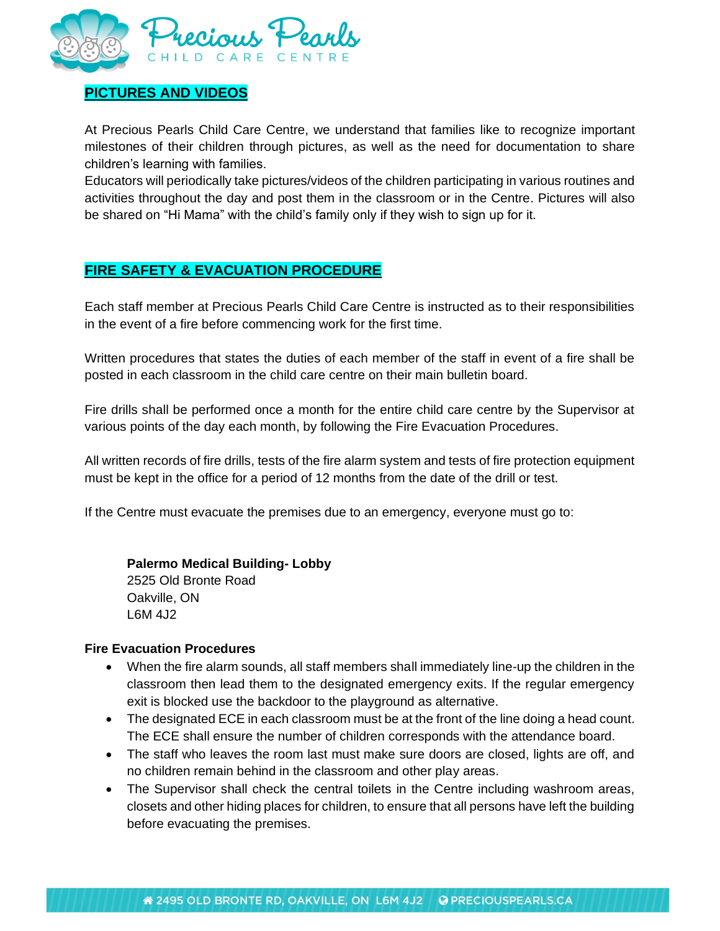

# **PICTURES AND VIDEOS**

At Precious Pearls Child Care Centre, we understand that families like to recognize important milestones of their children through pictures, as well as the need for documentation to share children's learning with families.

Educators will periodically take pictures/videos of the children participating in various routines and activities throughout the day and post them in the classroom or in the Centre. Pictures will also be shared on "Hi Mama" with the child's family only if they wish to sign up for it.

# **FIRE SAFETY & EVACUATION PROCEDURE**

Each staff member at Precious Pearls Child Care Centre is instructed as to their responsibilities in the event of a fire before commencing work for the first time.

Written procedures that states the duties of each member of the staff in event of a fire shall be posted in each classroom in the child care centre on their main bulletin board.

Fire drills shall be performed once a month for the entire child care centre by the Supervisor at various points of the day each month, by following the Fire Evacuation Procedures.

All written records of fire drills, tests of the fire alarm system and tests of fire protection equipment must be kept in the office for a period of 12 months from the date of the drill or test.

If the Centre must evacuate the premises due to an emergency, everyone must go to:

#### **Palermo Medical Building- Lobby**

2525 Old Bronte Road Oakville, ON L6M 4J2

#### **Fire Evacuation Procedures**

- When the fire alarm sounds, all staff members shall immediately line-up the children in the classroom then lead them to the designated emergency exits. If the regular emergency exit is blocked use the backdoor to the playground as alternative.
- The designated ECE in each classroom must be at the front of the line doing a head count. The ECE shall ensure the number of children corresponds with the attendance board.
- The staff who leaves the room last must make sure doors are closed, lights are off, and no children remain behind in the classroom and other play areas.
- The Supervisor shall check the central toilets in the Centre including washroom areas, closets and other hiding places for children, to ensure that all persons have left the building before evacuating the premises.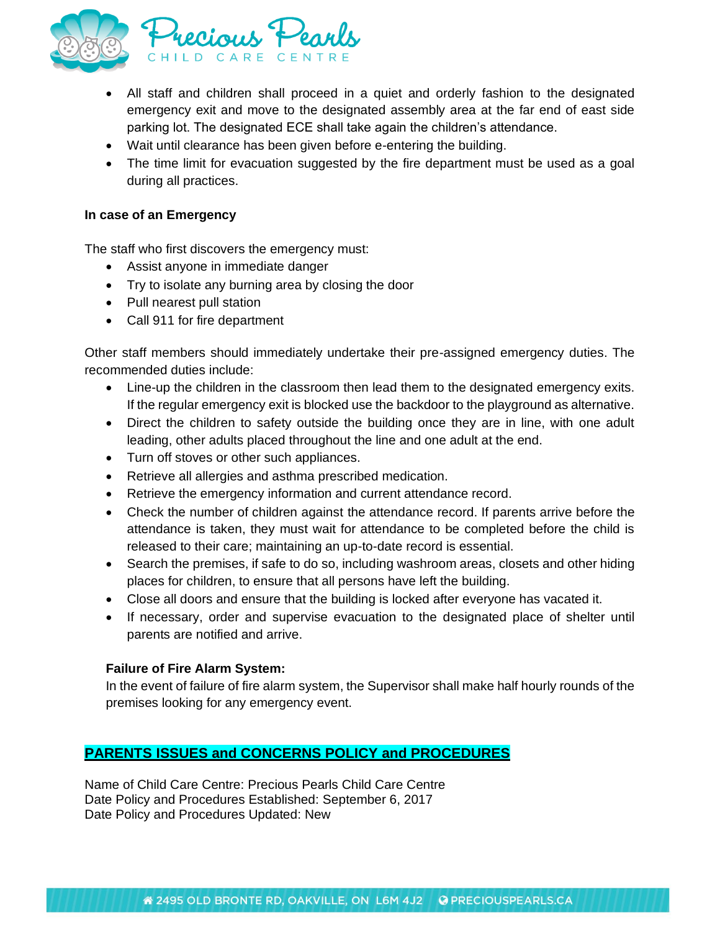

- All staff and children shall proceed in a quiet and orderly fashion to the designated emergency exit and move to the designated assembly area at the far end of east side parking lot. The designated ECE shall take again the children's attendance.
- Wait until clearance has been given before e-entering the building.
- The time limit for evacuation suggested by the fire department must be used as a goal during all practices.

#### **In case of an Emergency**

The staff who first discovers the emergency must:

- Assist anyone in immediate danger
- Try to isolate any burning area by closing the door
- Pull nearest pull station
- Call 911 for fire department

Other staff members should immediately undertake their pre-assigned emergency duties. The recommended duties include:

- Line-up the children in the classroom then lead them to the designated emergency exits. If the regular emergency exit is blocked use the backdoor to the playground as alternative.
- Direct the children to safety outside the building once they are in line, with one adult leading, other adults placed throughout the line and one adult at the end.
- Turn off stoves or other such appliances.
- Retrieve all allergies and asthma prescribed medication.
- Retrieve the emergency information and current attendance record.
- Check the number of children against the attendance record. If parents arrive before the attendance is taken, they must wait for attendance to be completed before the child is released to their care; maintaining an up-to-date record is essential.
- Search the premises, if safe to do so, including washroom areas, closets and other hiding places for children, to ensure that all persons have left the building.
- Close all doors and ensure that the building is locked after everyone has vacated it.
- If necessary, order and supervise evacuation to the designated place of shelter until parents are notified and arrive.

#### **Failure of Fire Alarm System:**

In the event of failure of fire alarm system, the Supervisor shall make half hourly rounds of the premises looking for any emergency event.

# **PARENTS ISSUES and CONCERNS POLICY and PROCEDURES**

Name of Child Care Centre: Precious Pearls Child Care Centre Date Policy and Procedures Established: September 6, 2017 Date Policy and Procedures Updated: New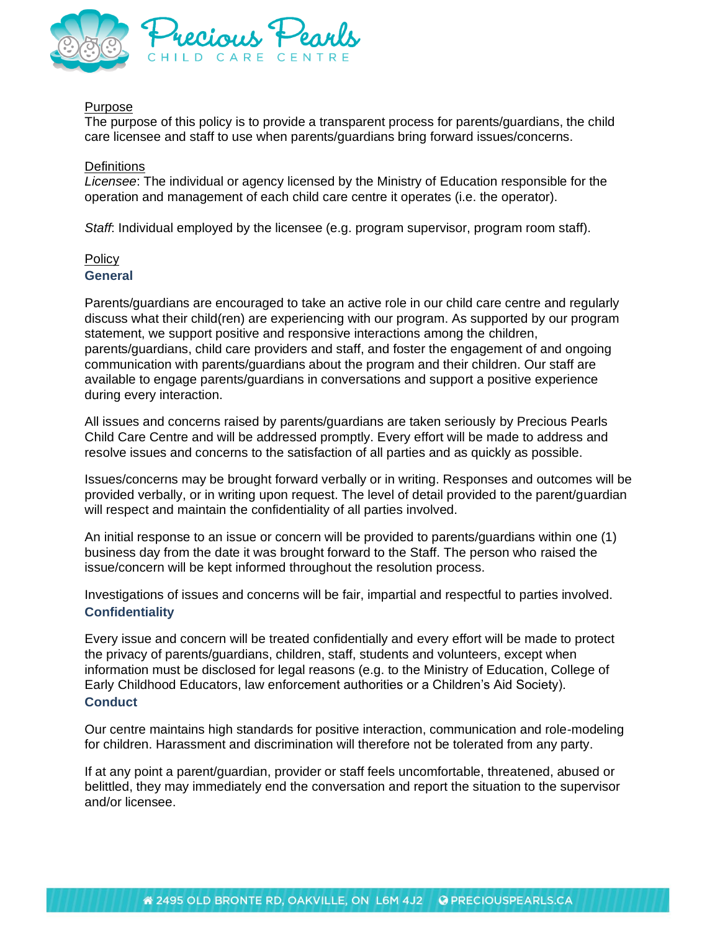

#### Purpose

The purpose of this policy is to provide a transparent process for parents/guardians, the child care licensee and staff to use when parents/guardians bring forward issues/concerns.

#### **Definitions**

*Licensee*: The individual or agency licensed by the Ministry of Education responsible for the operation and management of each child care centre it operates (i.e. the operator).

*Staff*: Individual employed by the licensee (e.g. program supervisor, program room staff).

#### Policy **General**

Parents/guardians are encouraged to take an active role in our child care centre and regularly discuss what their child(ren) are experiencing with our program. As supported by our program statement, we support positive and responsive interactions among the children, parents/guardians, child care providers and staff, and foster the engagement of and ongoing communication with parents/guardians about the program and their children. Our staff are available to engage parents/guardians in conversations and support a positive experience during every interaction.

All issues and concerns raised by parents/guardians are taken seriously by Precious Pearls Child Care Centre and will be addressed promptly. Every effort will be made to address and resolve issues and concerns to the satisfaction of all parties and as quickly as possible.

Issues/concerns may be brought forward verbally or in writing. Responses and outcomes will be provided verbally, or in writing upon request. The level of detail provided to the parent/guardian will respect and maintain the confidentiality of all parties involved.

An initial response to an issue or concern will be provided to parents/guardians within one (1) business day from the date it was brought forward to the Staff. The person who raised the issue/concern will be kept informed throughout the resolution process.

Investigations of issues and concerns will be fair, impartial and respectful to parties involved. **Confidentiality**

Every issue and concern will be treated confidentially and every effort will be made to protect the privacy of parents/guardians, children, staff, students and volunteers, except when information must be disclosed for legal reasons (e.g. to the Ministry of Education, College of Early Childhood Educators, law enforcement authorities or a Children's Aid Society). **Conduct**

Our centre maintains high standards for positive interaction, communication and role-modeling for children. Harassment and discrimination will therefore not be tolerated from any party.

If at any point a parent/guardian, provider or staff feels uncomfortable, threatened, abused or belittled, they may immediately end the conversation and report the situation to the supervisor and/or licensee.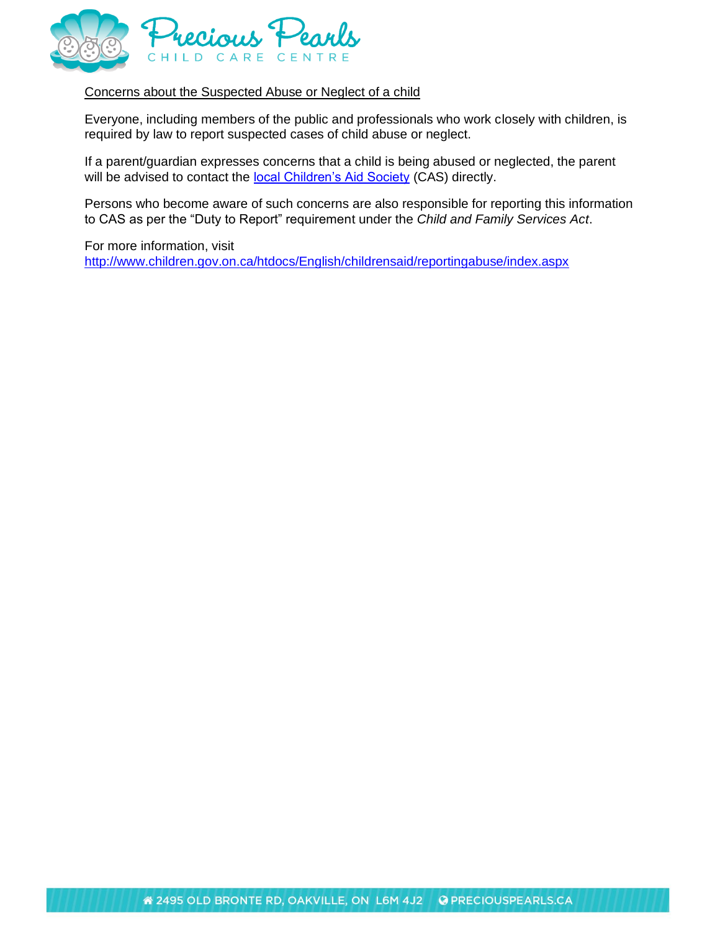

#### Concerns about the Suspected Abuse or Neglect of a child

Everyone, including members of the public and professionals who work closely with children, is required by law to report suspected cases of child abuse or neglect.

If a parent/guardian expresses concerns that a child is being abused or neglected, the parent will be advised to contact the [local Children's Aid Society](http://www.children.gov.on.ca/htdocs/English/childrensaid/reportingabuse/CASLocations.aspx) (CAS) directly.

Persons who become aware of such concerns are also responsible for reporting this information to CAS as per the "Duty to Report" requirement under the *Child and Family Services Act*.

For more information, visit <http://www.children.gov.on.ca/htdocs/English/childrensaid/reportingabuse/index.aspx>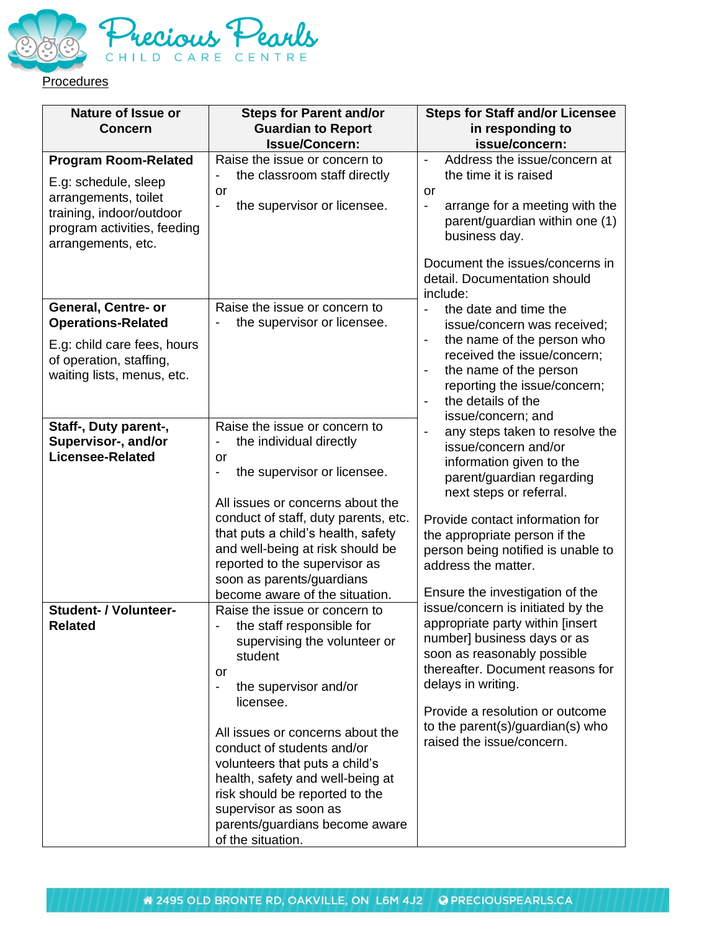

| <b>Nature of Issue or</b><br><b>Concern</b>                                                                                   | <b>Steps for Parent and/or</b><br><b>Guardian to Report</b><br><b>Issue/Concern:</b>                                                                                                                                                                                                                                                                                                                                                        | <b>Steps for Staff and/or Licensee</b><br>in responding to<br>issue/concern:                                                                                                                                                                                                                                   |  |  |  |
|-------------------------------------------------------------------------------------------------------------------------------|---------------------------------------------------------------------------------------------------------------------------------------------------------------------------------------------------------------------------------------------------------------------------------------------------------------------------------------------------------------------------------------------------------------------------------------------|----------------------------------------------------------------------------------------------------------------------------------------------------------------------------------------------------------------------------------------------------------------------------------------------------------------|--|--|--|
| <b>Program Room-Related</b>                                                                                                   | Raise the issue or concern to                                                                                                                                                                                                                                                                                                                                                                                                               | Address the issue/concern at<br>$\blacksquare$                                                                                                                                                                                                                                                                 |  |  |  |
| E.g: schedule, sleep<br>arrangements, toilet<br>training, indoor/outdoor<br>program activities, feeding<br>arrangements, etc. | the classroom staff directly<br>or<br>the supervisor or licensee.                                                                                                                                                                                                                                                                                                                                                                           | the time it is raised<br>or<br>arrange for a meeting with the<br>parent/guardian within one (1)<br>business day.<br>Document the issues/concerns in<br>detail. Documentation should                                                                                                                            |  |  |  |
| General, Centre- or<br><b>Operations-Related</b>                                                                              | Raise the issue or concern to<br>the supervisor or licensee.<br>$\qquad \qquad \blacksquare$                                                                                                                                                                                                                                                                                                                                                | include:<br>the date and time the<br>$\overline{\phantom{a}}$<br>issue/concern was received;                                                                                                                                                                                                                   |  |  |  |
| E.g: child care fees, hours<br>of operation, staffing,<br>waiting lists, menus, etc.                                          |                                                                                                                                                                                                                                                                                                                                                                                                                                             | the name of the person who<br>received the issue/concern;<br>the name of the person<br>$\qquad \qquad \blacksquare$<br>reporting the issue/concern;<br>the details of the<br>$\blacksquare$<br>issue/concern; and                                                                                              |  |  |  |
| Staff-, Duty parent-,<br>Supervisor-, and/or<br><b>Licensee-Related</b>                                                       | Raise the issue or concern to<br>the individual directly<br>$\overline{\phantom{0}}$<br>or<br>the supervisor or licensee.<br>All issues or concerns about the<br>conduct of staff, duty parents, etc.<br>that puts a child's health, safety<br>and well-being at risk should be<br>reported to the supervisor as<br>soon as parents/guardians<br>become aware of the situation.                                                             | any steps taken to resolve the<br>issue/concern and/or<br>information given to the<br>parent/guardian regarding<br>next steps or referral.<br>Provide contact information for<br>the appropriate person if the<br>person being notified is unable to<br>address the matter.<br>Ensure the investigation of the |  |  |  |
| <b>Student- / Volunteer-</b><br>Related                                                                                       | Raise the issue or concern to<br>the staff responsible for<br>supervising the volunteer or<br>student<br>or<br>the supervisor and/or<br>$\qquad \qquad \blacksquare$<br>licensee.<br>All issues or concerns about the<br>conduct of students and/or<br>volunteers that puts a child's<br>health, safety and well-being at<br>risk should be reported to the<br>supervisor as soon as<br>parents/guardians become aware<br>of the situation. | issue/concern is initiated by the<br>appropriate party within [insert<br>number] business days or as<br>soon as reasonably possible<br>thereafter. Document reasons for<br>delays in writing.<br>Provide a resolution or outcome<br>to the parent(s)/guardian(s) who<br>raised the issue/concern.              |  |  |  |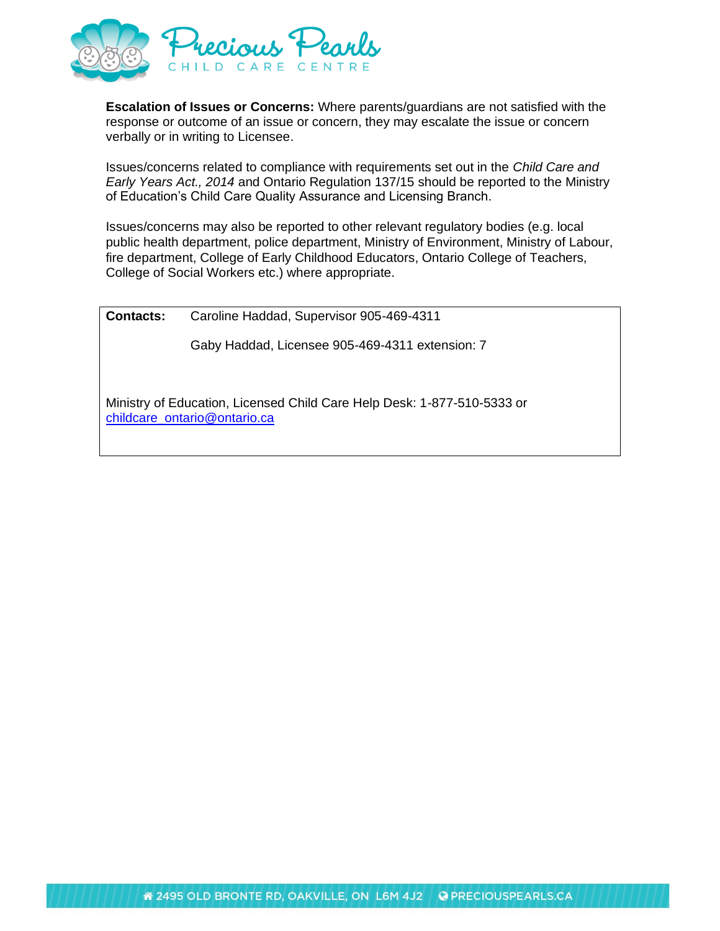

**Escalation of Issues or Concerns:** Where parents/guardians are not satisfied with the response or outcome of an issue or concern, they may escalate the issue or concern verbally or in writing to Licensee.

Issues/concerns related to compliance with requirements set out in the *Child Care and Early Years Act., 2014* and Ontario Regulation 137/15 should be reported to the Ministry of Education's Child Care Quality Assurance and Licensing Branch.

Issues/concerns may also be reported to other relevant regulatory bodies (e.g. local public health department, police department, Ministry of Environment, Ministry of Labour, fire department, College of Early Childhood Educators, Ontario College of Teachers, College of Social Workers etc.) where appropriate.

**Contacts:** Caroline Haddad, Supervisor 905-469-4311

Gaby Haddad, Licensee 905-469-4311 extension: 7

Ministry of Education, Licensed Child Care Help Desk: 1-877-510-5333 or [childcare\\_ontario@ontario.ca](mailto:childcare_ontario@ontario.ca)